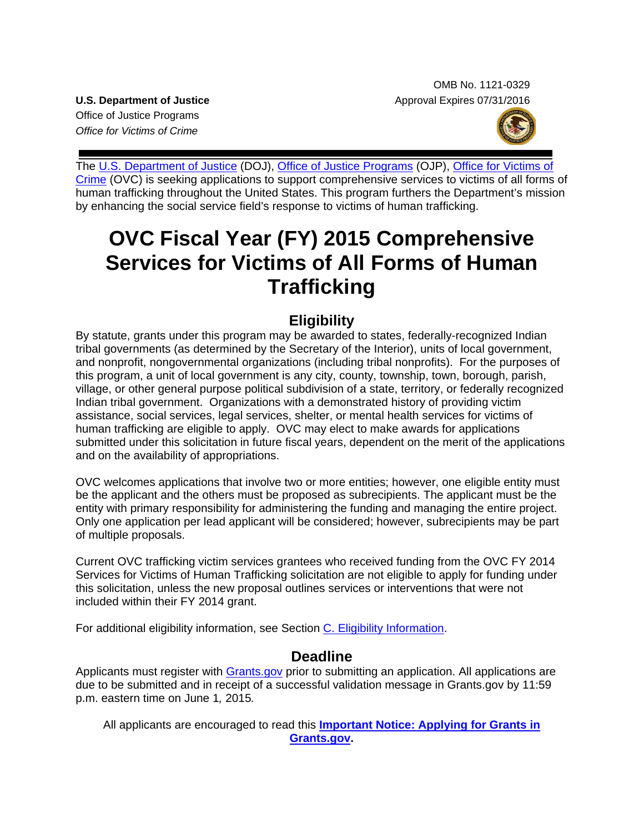OMB No. 1121-0329 **U.S. Department of Justice** Approval Expires 07/31/2016

Office of Justice Programs *Office for Victims of Crime*



The [U.S. Department of Justice](http://www.usdoj.gov/) (DOJ), [Office of Justice Programs](http://www.ojp.usdoj.gov/) (OJP), [Office for Victims of](http://www.ovc.gov/)  [Crime](http://www.ovc.gov/) (OVC) is seeking applications to support comprehensive services to victims of all forms of human trafficking throughout the United States. This program furthers the Department's mission by enhancing the social service field's response to victims of human trafficking.

# **OVC Fiscal Year (FY) 2015 Comprehensive Services for Victims of All Forms of Human Trafficking**

## **Eligibility**

By statute, grants under this program may be awarded to states, federally-recognized Indian tribal governments (as determined by the Secretary of the Interior), units of local government, and nonprofit, nongovernmental organizations (including tribal nonprofits). For the purposes of this program, a unit of local government is any city, county, township, town, borough, parish, village, or other general purpose political subdivision of a state, territory, or federally recognized Indian tribal government. Organizations with a demonstrated history of providing victim assistance, social services, legal services, shelter, or mental health services for victims of human trafficking are eligible to apply. OVC may elect to make awards for applications submitted under this solicitation in future fiscal years, dependent on the merit of the applications and on the availability of appropriations.

OVC welcomes applications that involve two or more entities; however, one eligible entity must be the applicant and the others must be proposed as subrecipients. The applicant must be the entity with primary responsibility for administering the funding and managing the entire project. Only one application per lead applicant will be considered; however, subrecipients may be part of multiple proposals.

Current OVC trafficking victim services grantees who received funding from the OVC FY 2014 Services for Victims of Human Trafficking solicitation are not eligible to apply for funding under this solicitation, unless the new proposal outlines services or interventions that were not included within their FY 2014 grant.

For additional eligibility information, see Section [C. Eligibility Information.](#page-13-0)

## **Deadline**

Applicants must register with [Grants.gov](http://www.grants.gov/applicants/apply_for_grants.jsp) prior to submitting an application. All applications are due to be submitted and in receipt of a successful validation message in Grants.gov by 11:59 p.m. eastern time on June 1*,* 2015*.*

All applicants are encouraged to read this **Important [Notice: Applying for Grants in](http://ojp.gov/funding/Apply/Grants-govInfo.htm)  [Grants.gov.](http://ojp.gov/funding/Apply/Grants-govInfo.htm)**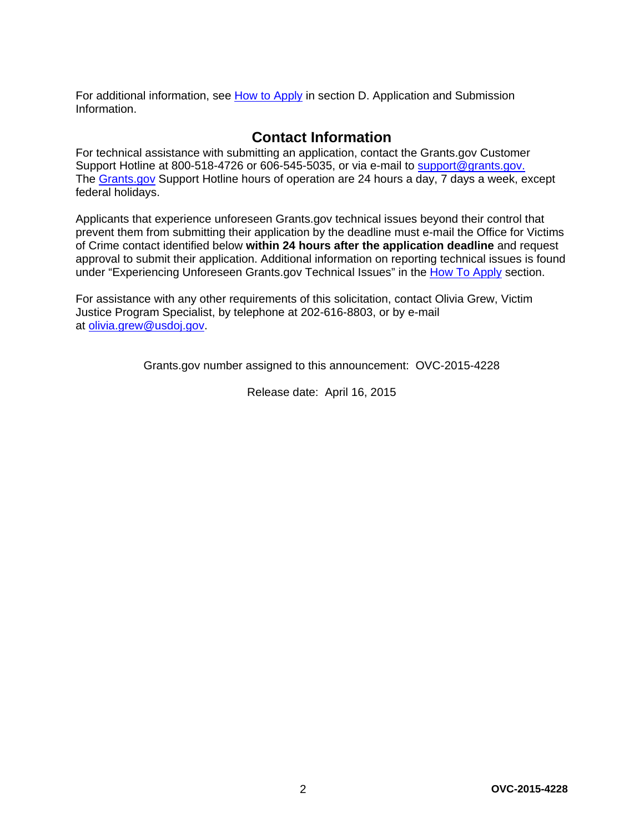For additional information, see [How to Apply](#page-27-0) in section D. Application and Submission [Information.](#page-13-1)

## **Contact Information**

For technical assistance with submitting an application, contact the Grants.gov Customer Support Hotline at 800-518-4726 or 606-545-5035, or via e-mail to [support@grants.gov.](mailto:support@grants.gov) The [Grants.gov](http://www.grants.gov/applicants/apply_for_grants.jsp) Support Hotline hours of operation are 24 hours a day, 7 days a week, except federal holidays.

Applicants that experience unforeseen Grants.gov technical issues beyond their control that prevent them from submitting their application by the deadline must e-mail the Office for Victims of Crime contact identified below **within 24 hours after the application deadline** and request approval to submit their application. Additional information on reporting technical issues is found under "Experiencing Unforeseen Grants.gov Technical Issues" in the [How To Apply](#page-27-0) section.

For assistance with any other requirements of this solicitation, contact Olivia Grew, Victim Justice Program Specialist, by telephone at 202-616-8803, or by e-mail at [olivia.grew@usdoj.gov.](mailto:olivia.grew@usdoj.gov)

Grants.gov number assigned to this announcement: OVC-2015-4228

Release date: April 16, 2015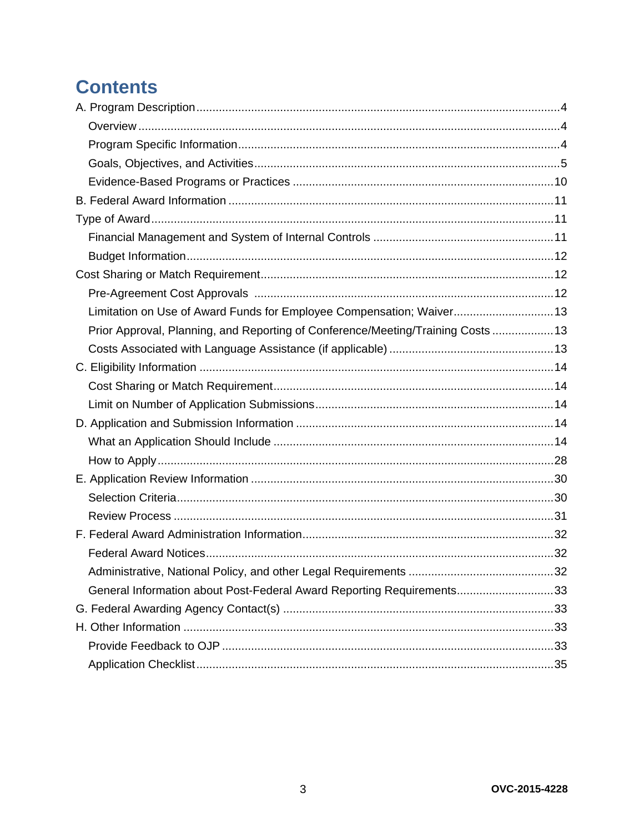## **Contents**

| Limitation on Use of Award Funds for Employee Compensation; Waiver 13            |  |
|----------------------------------------------------------------------------------|--|
| Prior Approval, Planning, and Reporting of Conference/Meeting/Training Costs  13 |  |
|                                                                                  |  |
|                                                                                  |  |
|                                                                                  |  |
|                                                                                  |  |
|                                                                                  |  |
|                                                                                  |  |
|                                                                                  |  |
|                                                                                  |  |
|                                                                                  |  |
|                                                                                  |  |
|                                                                                  |  |
|                                                                                  |  |
|                                                                                  |  |
| General Information about Post-Federal Award Reporting Requirements33            |  |
|                                                                                  |  |
|                                                                                  |  |
|                                                                                  |  |
|                                                                                  |  |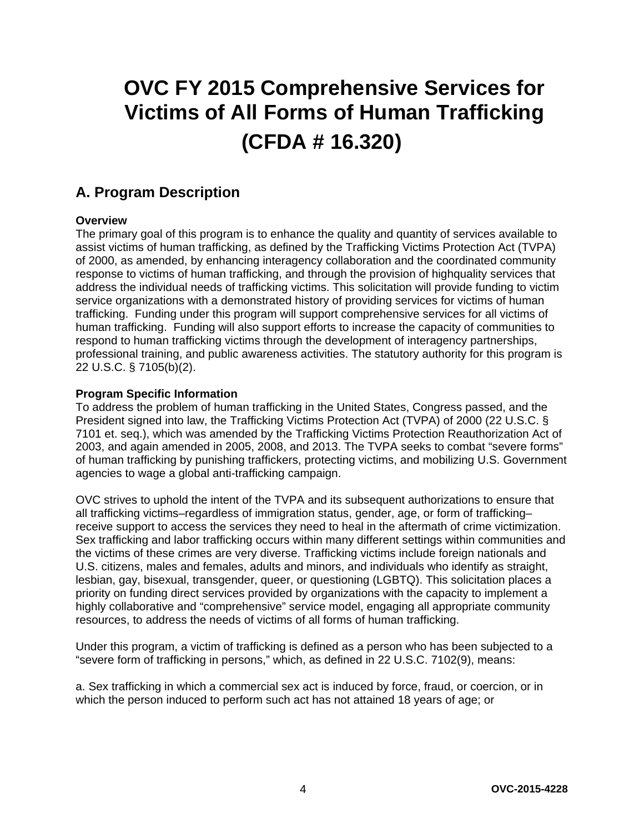# **OVC FY 2015 Comprehensive Services for Victims of All Forms of Human Trafficking (CFDA # 16.320)**

## <span id="page-3-0"></span>**A. Program Description**

#### <span id="page-3-1"></span>**Overview**

The primary goal of this program is to enhance the quality and quantity of services available to assist victims of human trafficking, as defined by the Trafficking Victims Protection Act (TVPA) of 2000, as amended, by enhancing interagency collaboration and the coordinated community response to victims of human trafficking, and through the provision of highquality services that address the individual needs of trafficking victims. This solicitation will provide funding to victim service organizations with a demonstrated history of providing services for victims of human trafficking. Funding under this program will support comprehensive services for all victims of human trafficking. Funding will also support efforts to increase the capacity of communities to respond to human trafficking victims through the development of interagency partnerships, professional training, and public awareness activities. The statutory authority for this program is 22 U.S.C. § 7105(b)(2).

#### <span id="page-3-2"></span>**Program Specific Information**

To address the problem of human trafficking in the United States, Congress passed, and the President signed into law, the Trafficking Victims Protection Act (TVPA) of 2000 (22 U.S.C. § 7101 et. seq.), which was amended by the Trafficking Victims Protection Reauthorization Act of 2003, and again amended in 2005, 2008, and 2013. The TVPA seeks to combat "severe forms" of human trafficking by punishing traffickers, protecting victims, and mobilizing U.S. Government agencies to wage a global anti-trafficking campaign.

OVC strives to uphold the intent of the TVPA and its subsequent authorizations to ensure that all trafficking victims–regardless of immigration status, gender, age, or form of trafficking– receive support to access the services they need to heal in the aftermath of crime victimization. Sex trafficking and labor trafficking occurs within many different settings within communities and the victims of these crimes are very diverse. Trafficking victims include foreign nationals and U.S. citizens, males and females, adults and minors, and individuals who identify as straight, lesbian, gay, bisexual, transgender, queer, or questioning (LGBTQ). This solicitation places a priority on funding direct services provided by organizations with the capacity to implement a highly collaborative and "comprehensive" service model, engaging all appropriate community resources, to address the needs of victims of all forms of human trafficking.

Under this program, a victim of trafficking is defined as a person who has been subjected to a "severe form of trafficking in persons," which, as defined in 22 U.S.C. 7102(9), means:

a. Sex trafficking in which a commercial sex act is induced by force, fraud, or coercion, or in which the person induced to perform such act has not attained 18 years of age; or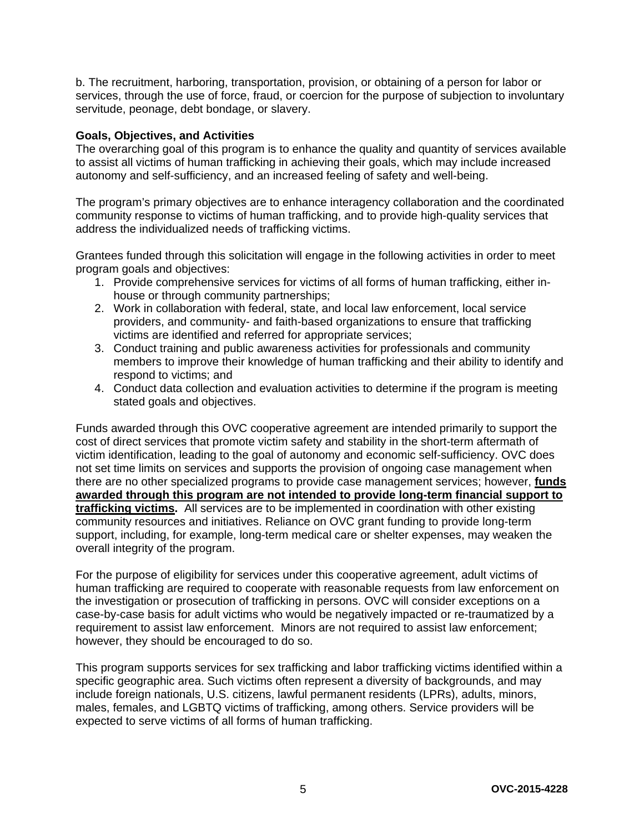b. The recruitment, harboring, transportation, provision, or obtaining of a person for labor or services, through the use of force, fraud, or coercion for the purpose of subjection to involuntary servitude, peonage, debt bondage, or slavery.

#### <span id="page-4-0"></span>**Goals, Objectives, and Activities**

The overarching goal of this program is to enhance the quality and quantity of services available to assist all victims of human trafficking in achieving their goals, which may include increased autonomy and self-sufficiency, and an increased feeling of safety and well-being.

The program's primary objectives are to enhance interagency collaboration and the coordinated community response to victims of human trafficking, and to provide high-quality services that address the individualized needs of trafficking victims.

Grantees funded through this solicitation will engage in the following activities in order to meet program goals and objectives:

- 1. Provide comprehensive services for victims of all forms of human trafficking, either inhouse or through community partnerships;
- 2. Work in collaboration with federal, state, and local law enforcement, local service providers, and community- and faith-based organizations to ensure that trafficking victims are identified and referred for appropriate services;
- 3. Conduct training and public awareness activities for professionals and community members to improve their knowledge of human trafficking and their ability to identify and respond to victims; and
- 4. Conduct data collection and evaluation activities to determine if the program is meeting stated goals and objectives.

Funds awarded through this OVC cooperative agreement are intended primarily to support the cost of direct services that promote victim safety and stability in the short-term aftermath of victim identification, leading to the goal of autonomy and economic self-sufficiency. OVC does not set time limits on services and supports the provision of ongoing case management when there are no other specialized programs to provide case management services; however, **funds awarded through this program are not intended to provide long-term financial support to trafficking victims.** All services are to be implemented in coordination with other existing community resources and initiatives. Reliance on OVC grant funding to provide long-term support, including, for example, long-term medical care or shelter expenses, may weaken the overall integrity of the program.

For the purpose of eligibility for services under this cooperative agreement, adult victims of human trafficking are required to cooperate with reasonable requests from law enforcement on the investigation or prosecution of trafficking in persons. OVC will consider exceptions on a case-by-case basis for adult victims who would be negatively impacted or re-traumatized by a requirement to assist law enforcement. Minors are not required to assist law enforcement; however, they should be encouraged to do so.

This program supports services for sex trafficking and labor trafficking victims identified within a specific geographic area. Such victims often represent a diversity of backgrounds, and may include foreign nationals, U.S. citizens, lawful permanent residents (LPRs), adults, minors, males, females, and LGBTQ victims of trafficking, among others. Service providers will be expected to serve victims of all forms of human trafficking.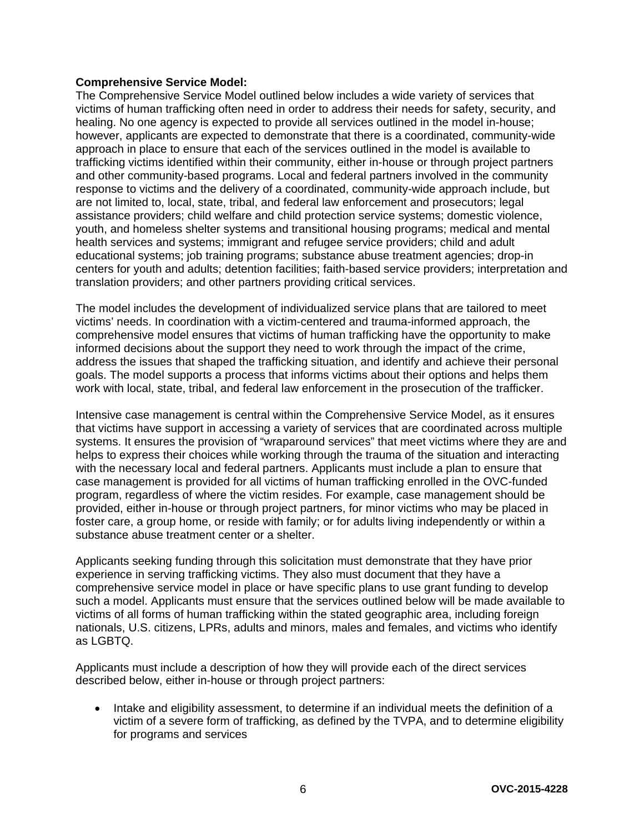#### **Comprehensive Service Model:**

The Comprehensive Service Model outlined below includes a wide variety of services that victims of human trafficking often need in order to address their needs for safety, security, and healing. No one agency is expected to provide all services outlined in the model in-house; however, applicants are expected to demonstrate that there is a coordinated, community-wide approach in place to ensure that each of the services outlined in the model is available to trafficking victims identified within their community, either in-house or through project partners and other community-based programs. Local and federal partners involved in the community response to victims and the delivery of a coordinated, community-wide approach include, but are not limited to, local, state, tribal, and federal law enforcement and prosecutors; legal assistance providers; child welfare and child protection service systems; domestic violence, youth, and homeless shelter systems and transitional housing programs; medical and mental health services and systems; immigrant and refugee service providers; child and adult educational systems; job training programs; substance abuse treatment agencies; drop-in centers for youth and adults; detention facilities; faith-based service providers; interpretation and translation providers; and other partners providing critical services.

The model includes the development of individualized service plans that are tailored to meet victims' needs. In coordination with a victim-centered and trauma-informed approach, the comprehensive model ensures that victims of human trafficking have the opportunity to make informed decisions about the support they need to work through the impact of the crime, address the issues that shaped the trafficking situation, and identify and achieve their personal goals. The model supports a process that informs victims about their options and helps them work with local, state, tribal, and federal law enforcement in the prosecution of the trafficker.

Intensive case management is central within the Comprehensive Service Model, as it ensures that victims have support in accessing a variety of services that are coordinated across multiple systems. It ensures the provision of "wraparound services" that meet victims where they are and helps to express their choices while working through the trauma of the situation and interacting with the necessary local and federal partners. Applicants must include a plan to ensure that case management is provided for all victims of human trafficking enrolled in the OVC-funded program, regardless of where the victim resides. For example, case management should be provided, either in-house or through project partners, for minor victims who may be placed in foster care, a group home, or reside with family; or for adults living independently or within a substance abuse treatment center or a shelter.

Applicants seeking funding through this solicitation must demonstrate that they have prior experience in serving trafficking victims. They also must document that they have a comprehensive service model in place or have specific plans to use grant funding to develop such a model. Applicants must ensure that the services outlined below will be made available to victims of all forms of human trafficking within the stated geographic area, including foreign nationals, U.S. citizens, LPRs, adults and minors, males and females, and victims who identify as LGBTQ.

Applicants must include a description of how they will provide each of the direct services described below, either in-house or through project partners:

• Intake and eligibility assessment, to determine if an individual meets the definition of a victim of a severe form of trafficking, as defined by the TVPA, and to determine eligibility for programs and services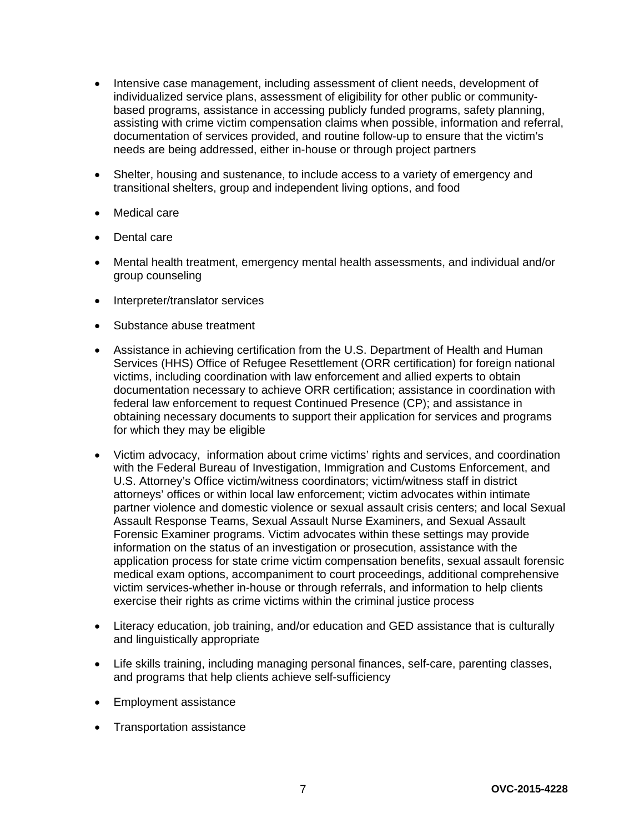- Intensive case management, including assessment of client needs, development of individualized service plans, assessment of eligibility for other public or communitybased programs, assistance in accessing publicly funded programs, safety planning, assisting with crime victim compensation claims when possible, information and referral, documentation of services provided, and routine follow-up to ensure that the victim's needs are being addressed, either in-house or through project partners
- Shelter, housing and sustenance, to include access to a variety of emergency and transitional shelters, group and independent living options, and food
- Medical care
- Dental care
- Mental health treatment, emergency mental health assessments, and individual and/or group counseling
- Interpreter/translator services
- Substance abuse treatment
- Assistance in achieving certification from the U.S. Department of Health and Human Services (HHS) Office of Refugee Resettlement (ORR certification) for foreign national victims, including coordination with law enforcement and allied experts to obtain documentation necessary to achieve ORR certification; assistance in coordination with federal law enforcement to request Continued Presence (CP); and assistance in obtaining necessary documents to support their application for services and programs for which they may be eligible
- Victim advocacy, information about crime victims' rights and services, and coordination with the Federal Bureau of Investigation, Immigration and Customs Enforcement, and U.S. Attorney's Office victim/witness coordinators; victim/witness staff in district attorneys' offices or within local law enforcement; victim advocates within intimate partner violence and domestic violence or sexual assault crisis centers; and local Sexual Assault Response Teams, Sexual Assault Nurse Examiners, and Sexual Assault Forensic Examiner programs. Victim advocates within these settings may provide information on the status of an investigation or prosecution, assistance with the application process for state crime victim compensation benefits, sexual assault forensic medical exam options, accompaniment to court proceedings, additional comprehensive victim services-whether in-house or through referrals, and information to help clients exercise their rights as crime victims within the criminal justice process
- Literacy education, job training, and/or education and GED assistance that is culturally and linguistically appropriate
- Life skills training, including managing personal finances, self-care, parenting classes, and programs that help clients achieve self-sufficiency
- Employment assistance
- Transportation assistance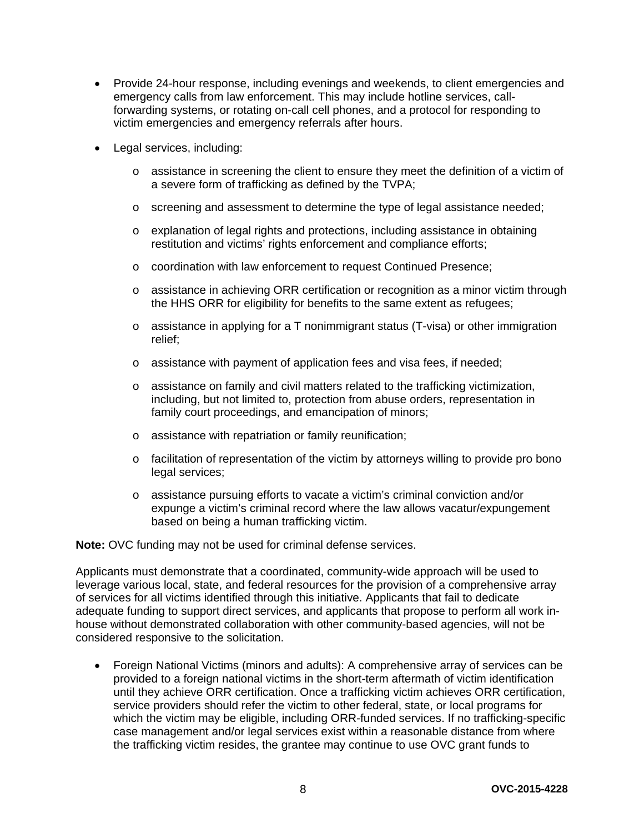- Provide 24-hour response, including evenings and weekends, to client emergencies and emergency calls from law enforcement. This may include hotline services, callforwarding systems, or rotating on-call cell phones, and a protocol for responding to victim emergencies and emergency referrals after hours.
- Legal services, including:
	- $\circ$  assistance in screening the client to ensure they meet the definition of a victim of a severe form of trafficking as defined by the TVPA;
	- o screening and assessment to determine the type of legal assistance needed;
	- o explanation of legal rights and protections, including assistance in obtaining restitution and victims' rights enforcement and compliance efforts;
	- o coordination with law enforcement to request Continued Presence;
	- o assistance in achieving ORR certification or recognition as a minor victim through the HHS ORR for eligibility for benefits to the same extent as refugees;
	- $\circ$  assistance in applying for a T nonimmigrant status (T-visa) or other immigration relief;
	- o assistance with payment of application fees and visa fees, if needed;
	- $\circ$  assistance on family and civil matters related to the trafficking victimization, including, but not limited to, protection from abuse orders, representation in family court proceedings, and emancipation of minors;
	- o assistance with repatriation or family reunification;
	- o facilitation of representation of the victim by attorneys willing to provide pro bono legal services;
	- o assistance pursuing efforts to vacate a victim's criminal conviction and/or expunge a victim's criminal record where the law allows vacatur/expungement based on being a human trafficking victim.

**Note:** OVC funding may not be used for criminal defense services.

Applicants must demonstrate that a coordinated, community-wide approach will be used to leverage various local, state, and federal resources for the provision of a comprehensive array of services for all victims identified through this initiative. Applicants that fail to dedicate adequate funding to support direct services, and applicants that propose to perform all work inhouse without demonstrated collaboration with other community-based agencies, will not be considered responsive to the solicitation.

• Foreign National Victims (minors and adults): A comprehensive array of services can be provided to a foreign national victims in the short-term aftermath of victim identification until they achieve ORR certification. Once a trafficking victim achieves ORR certification, service providers should refer the victim to other federal, state, or local programs for which the victim may be eligible, including ORR-funded services. If no trafficking-specific case management and/or legal services exist within a reasonable distance from where the trafficking victim resides, the grantee may continue to use OVC grant funds to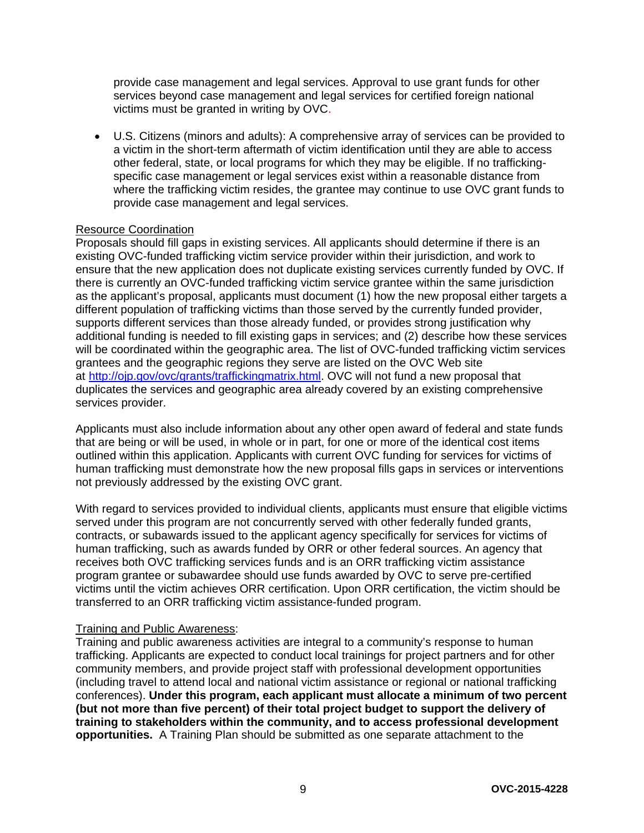provide case management and legal services. Approval to use grant funds for other services beyond case management and legal services for certified foreign national victims must be granted in writing by OVC.

• U.S. Citizens (minors and adults): A comprehensive array of services can be provided to a victim in the short-term aftermath of victim identification until they are able to access other federal, state, or local programs for which they may be eligible. If no traffickingspecific case management or legal services exist within a reasonable distance from where the trafficking victim resides, the grantee may continue to use OVC grant funds to provide case management and legal services.

#### Resource Coordination

Proposals should fill gaps in existing services. All applicants should determine if there is an existing OVC-funded trafficking victim service provider within their jurisdiction, and work to ensure that the new application does not duplicate existing services currently funded by OVC. If there is currently an OVC-funded trafficking victim service grantee within the same jurisdiction as the applicant's proposal, applicants must document (1) how the new proposal either targets a different population of trafficking victims than those served by the currently funded provider, supports different services than those already funded, or provides strong justification why additional funding is needed to fill existing gaps in services; and (2) describe how these services will be coordinated within the geographic area. The list of OVC-funded trafficking victim services grantees and the geographic regions they serve are listed on the OVC Web site at [http://ojp.gov/ovc/grants/traffickingmatrix.html.](http://ojp.gov/ovc/grants/traffickingmatrix.html) OVC will not fund a new proposal that duplicates the services and geographic area already covered by an existing comprehensive services provider.

Applicants must also include information about any other open award of federal and state funds that are being or will be used, in whole or in part, for one or more of the identical cost items outlined within this application. Applicants with current OVC funding for services for victims of human trafficking must demonstrate how the new proposal fills gaps in services or interventions not previously addressed by the existing OVC grant.

With regard to services provided to individual clients, applicants must ensure that eligible victims served under this program are not concurrently served with other federally funded grants, contracts, or subawards issued to the applicant agency specifically for services for victims of human trafficking, such as awards funded by ORR or other federal sources. An agency that receives both OVC trafficking services funds and is an ORR trafficking victim assistance program grantee or subawardee should use funds awarded by OVC to serve pre-certified victims until the victim achieves ORR certification. Upon ORR certification, the victim should be transferred to an ORR trafficking victim assistance-funded program.

#### Training and Public Awareness:

Training and public awareness activities are integral to a community's response to human trafficking. Applicants are expected to conduct local trainings for project partners and for other community members, and provide project staff with professional development opportunities (including travel to attend local and national victim assistance or regional or national trafficking conferences). **Under this program, each applicant must allocate a minimum of two percent (but not more than five percent) of their total project budget to support the delivery of training to stakeholders within the community, and to access professional development opportunities.** A Training Plan should be submitted as one separate attachment to the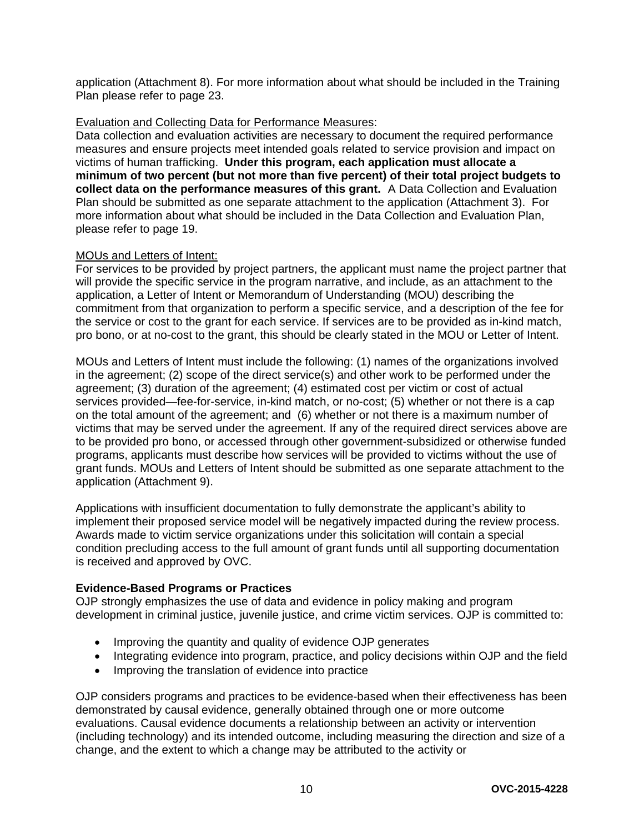application (Attachment 8). For more information about what should be included in the Training Plan please refer to page 23.

#### Evaluation and Collecting Data for Performance Measures:

Data collection and evaluation activities are necessary to document the required performance measures and ensure projects meet intended goals related to service provision and impact on victims of human trafficking. **Under this program, each application must allocate a minimum of two percent (but not more than five percent) of their total project budgets to collect data on the performance measures of this grant.** A Data Collection and Evaluation Plan should be submitted as one separate attachment to the application (Attachment 3). For more information about what should be included in the Data Collection and Evaluation Plan, please refer to page 19.

#### MOUs and Letters of Intent:

For services to be provided by project partners, the applicant must name the project partner that will provide the specific service in the program narrative, and include, as an attachment to the application, a Letter of Intent or Memorandum of Understanding (MOU) describing the commitment from that organization to perform a specific service, and a description of the fee for the service or cost to the grant for each service. If services are to be provided as in-kind match, pro bono, or at no-cost to the grant, this should be clearly stated in the MOU or Letter of Intent.

MOUs and Letters of Intent must include the following: (1) names of the organizations involved in the agreement; (2) scope of the direct service(s) and other work to be performed under the agreement; (3) duration of the agreement; (4) estimated cost per victim or cost of actual services provided—fee-for-service, in-kind match, or no-cost; (5) whether or not there is a cap on the total amount of the agreement; and (6) whether or not there is a maximum number of victims that may be served under the agreement. If any of the required direct services above are to be provided pro bono, or accessed through other government-subsidized or otherwise funded programs, applicants must describe how services will be provided to victims without the use of grant funds. MOUs and Letters of Intent should be submitted as one separate attachment to the application (Attachment 9).

Applications with insufficient documentation to fully demonstrate the applicant's ability to implement their proposed service model will be negatively impacted during the review process. Awards made to victim service organizations under this solicitation will contain a special condition precluding access to the full amount of grant funds until all supporting documentation is received and approved by OVC.

#### <span id="page-9-0"></span>**Evidence-Based Programs or Practices**

OJP strongly emphasizes the use of data and evidence in policy making and program development in criminal justice, juvenile justice, and crime victim services. OJP is committed to:

- Improving the quantity and quality of evidence OJP generates
- Integrating evidence into program, practice, and policy decisions within OJP and the field
- Improving the translation of evidence into practice

OJP considers programs and practices to be evidence-based when their effectiveness has been demonstrated by causal evidence, generally obtained through one or more outcome evaluations. Causal evidence documents a relationship between an activity or intervention (including technology) and its intended outcome, including measuring the direction and size of a change, and the extent to which a change may be attributed to the activity or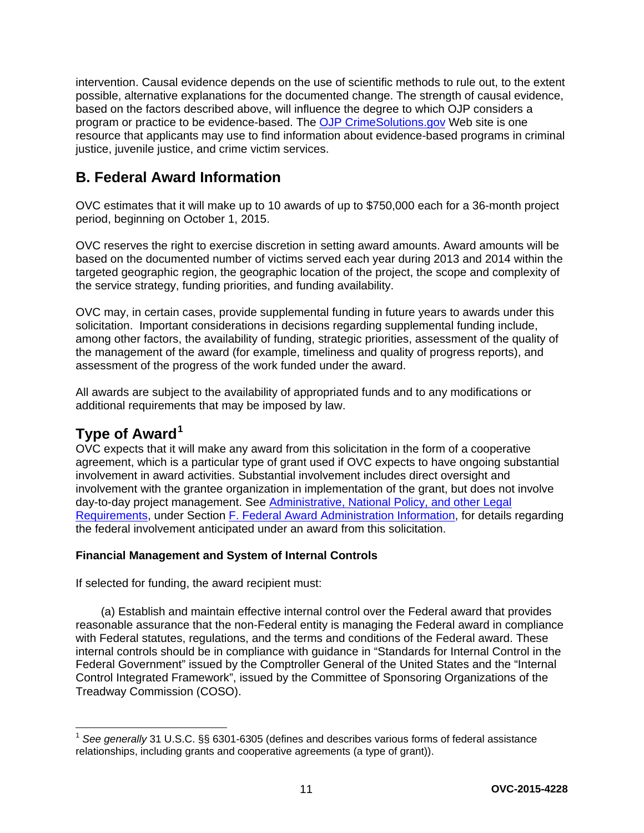intervention. Causal evidence depends on the use of scientific methods to rule out, to the extent possible, alternative explanations for the documented change. The strength of causal evidence, based on the factors described above, will influence the degree to which OJP considers a program or practice to be evidence-based. The [OJP CrimeSolutions.gov](http://www.crimesolutions.gov/) Web site is one resource that applicants may use to find information about evidence-based programs in criminal justice, juvenile justice, and crime victim services.

## <span id="page-10-0"></span>**B. Federal Award Information**

OVC estimates that it will make up to 10 awards of up to \$750,000 each for a 36-month project period, beginning on October 1, 2015.

OVC reserves the right to exercise discretion in setting award amounts. Award amounts will be based on the documented number of victims served each year during 2013 and 2014 within the targeted geographic region, the geographic location of the project, the scope and complexity of the service strategy, funding priorities, and funding availability.

OVC may, in certain cases, provide supplemental funding in future years to awards under this solicitation. Important considerations in decisions regarding supplemental funding include, among other factors, the availability of funding, strategic priorities, assessment of the quality of the management of the award (for example, timeliness and quality of progress reports), and assessment of the progress of the work funded under the award.

All awards are subject to the availability of appropriated funds and to any modifications or additional requirements that may be imposed by law.

## <span id="page-10-1"></span>**Type of Award[1](#page-10-3)**

OVC expects that it will make any award from this solicitation in the form of a cooperative agreement, which is a particular type of grant used if OVC expects to have ongoing substantial involvement in award activities. Substantial involvement includes direct oversight and involvement with the grantee organization in implementation of the grant, but does not involve day-to-day project management. See [Administrative, National Policy, and other Legal](#page-31-3)  [Requirements,](#page-31-3) under Section [F. Federal Award Administration Information,](#page-31-3) for details regarding the federal involvement anticipated under an award from this solicitation.

#### <span id="page-10-2"></span>**Financial Management and System of Internal Controls**

If selected for funding, the award recipient must:

(a) Establish and maintain effective internal control over the Federal award that provides reasonable assurance that the non-Federal entity is managing the Federal award in compliance with Federal statutes, regulations, and the terms and conditions of the Federal award. These internal controls should be in compliance with guidance in "Standards for Internal Control in the Federal Government" issued by the Comptroller General of the United States and the "Internal Control Integrated Framework", issued by the Committee of Sponsoring Organizations of the Treadway Commission (COSO).

<span id="page-10-3"></span><sup>1</sup> *See generally* 31 U.S.C. §§ 6301-6305 (defines and describes various forms of federal assistance relationships, including grants and cooperative agreements (a type of grant)).  $\overline{a}$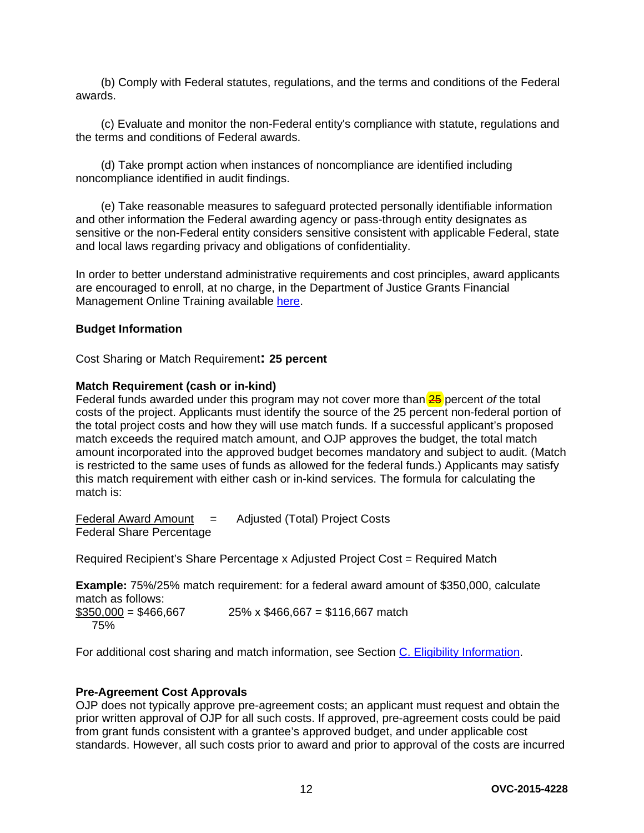(b) Comply with Federal statutes, regulations, and the terms and conditions of the Federal awards.

(c) Evaluate and monitor the non-Federal entity's compliance with statute, regulations and the terms and conditions of Federal awards.

(d) Take prompt action when instances of noncompliance are identified including noncompliance identified in audit findings.

(e) Take reasonable measures to safeguard protected personally identifiable information and other information the Federal awarding agency or pass-through entity designates as sensitive or the non-Federal entity considers sensitive consistent with applicable Federal, state and local laws regarding privacy and obligations of confidentiality.

In order to better understand administrative requirements and cost principles, award applicants are encouraged to enroll, at no charge, in the Department of Justice Grants Financial Management Online Training available [here.](http://gfm.webfirst.com/)

#### <span id="page-11-0"></span>**Budget Information**

<span id="page-11-1"></span>Cost Sharing or Match Requirement**: 25 percent**

#### **Match Requirement (cash or in-kind)**

Federal funds awarded under this program may not cover more than 25 percent *of* the total costs of the project. Applicants must identify the source of the 25 percent non-federal portion of the total project costs and how they will use match funds. If a successful applicant's proposed match exceeds the required match amount, and OJP approves the budget, the total match amount incorporated into the approved budget becomes mandatory and subject to audit. (Match is restricted to the same uses of funds as allowed for the federal funds.) Applicants may satisfy this match requirement with either cash or in-kind services. The formula for calculating the match is:

Federal Award Amount = Adjusted (Total) Project Costs Federal Share Percentage

Required Recipient's Share Percentage x Adjusted Project Cost = Required Match

**Example:** 75%/25% match requirement: for a federal award amount of \$350,000, calculate match as follows:  $$350,000 = $466,667$  25% x \$466,667 = \$116,667 match

75%

For additional cost sharing and match information, see Section [C. Eligibility Information.](#page-13-0)

#### <span id="page-11-2"></span>**Pre-Agreement Cost Approvals**

OJP does not typically approve pre-agreement costs; an applicant must request and obtain the prior written approval of OJP for all such costs. If approved, pre-agreement costs could be paid from grant funds consistent with a grantee's approved budget, and under applicable cost standards. However, all such costs prior to award and prior to approval of the costs are incurred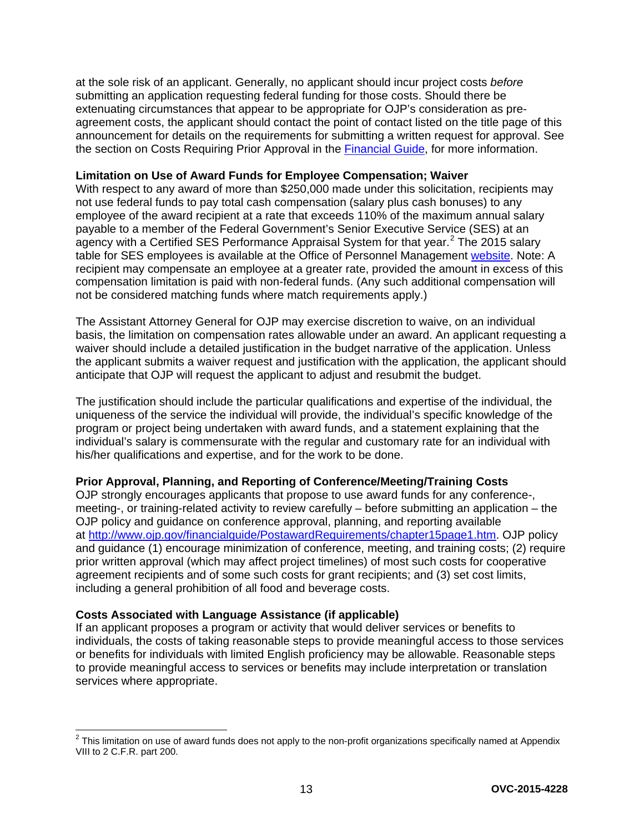at the sole risk of an applicant. Generally, no applicant should incur project costs *before* submitting an application requesting federal funding for those costs. Should there be extenuating circumstances that appear to be appropriate for OJP's consideration as preagreement costs, the applicant should contact the point of contact listed on the title page of this announcement for details on the requirements for submitting a written request for approval. See the section on Costs Requiring Prior Approval in the [Financial Guide,](http://ojp.gov/financialguide/index.htm) for more information.

#### <span id="page-12-0"></span>**Limitation on Use of Award Funds for Employee Compensation; Waiver**

With respect to any award of more than \$250,000 made under this solicitation, recipients may not use federal funds to pay total cash compensation (salary plus cash bonuses) to any employee of the award recipient at a rate that exceeds 110% of the maximum annual salary payable to a member of the Federal Government's Senior Executive Service (SES) at an agency with a Certified SES Performance Appraisal System for that year.<sup>[2](#page-12-3)</sup> The 2015 salary table for SES employees is available at the Office of Personnel Management [website.](http://www.opm.gov/policy-data-oversight/pay-leave/salaries-wages/salary-tables/15Tables/exec/html/ES.aspx) Note: A recipient may compensate an employee at a greater rate, provided the amount in excess of this compensation limitation is paid with non-federal funds. (Any such additional compensation will not be considered matching funds where match requirements apply.)

The Assistant Attorney General for OJP may exercise discretion to waive, on an individual basis, the limitation on compensation rates allowable under an award. An applicant requesting a waiver should include a detailed justification in the budget narrative of the application. Unless the applicant submits a waiver request and justification with the application, the applicant should anticipate that OJP will request the applicant to adjust and resubmit the budget.

The justification should include the particular qualifications and expertise of the individual, the uniqueness of the service the individual will provide, the individual's specific knowledge of the program or project being undertaken with award funds, and a statement explaining that the individual's salary is commensurate with the regular and customary rate for an individual with his/her qualifications and expertise, and for the work to be done.

#### <span id="page-12-1"></span>**Prior Approval, Planning, and Reporting of Conference/Meeting/Training Costs**

OJP strongly encourages applicants that propose to use award funds for any conference-, meeting-, or training-related activity to review carefully – before submitting an application – the OJP policy and guidance on conference approval, planning, and reporting available at [http://www.ojp.gov/financialguide/PostawardRequirements/chapter15page1.htm.](http://www.ojp.gov/financialguide/PostawardRequirements/chapter15page1.htm) OJP policy and guidance (1) encourage minimization of conference, meeting, and training costs; (2) require prior written approval (which may affect project timelines) of most such costs for cooperative agreement recipients and of some such costs for grant recipients; and (3) set cost limits, including a general prohibition of all food and beverage costs.

#### <span id="page-12-2"></span>**Costs Associated with Language Assistance (if applicable)**

If an applicant proposes a program or activity that would deliver services or benefits to individuals, the costs of taking reasonable steps to provide meaningful access to those services or benefits for individuals with limited English proficiency may be allowable. Reasonable steps to provide meaningful access to services or benefits may include interpretation or translation services where appropriate.

<span id="page-12-3"></span> $^2$  This limitation on use of award funds does not apply to the non-profit organizations specifically named at Appendix VIII to 2 C.F.R. part 200.  $\overline{a}$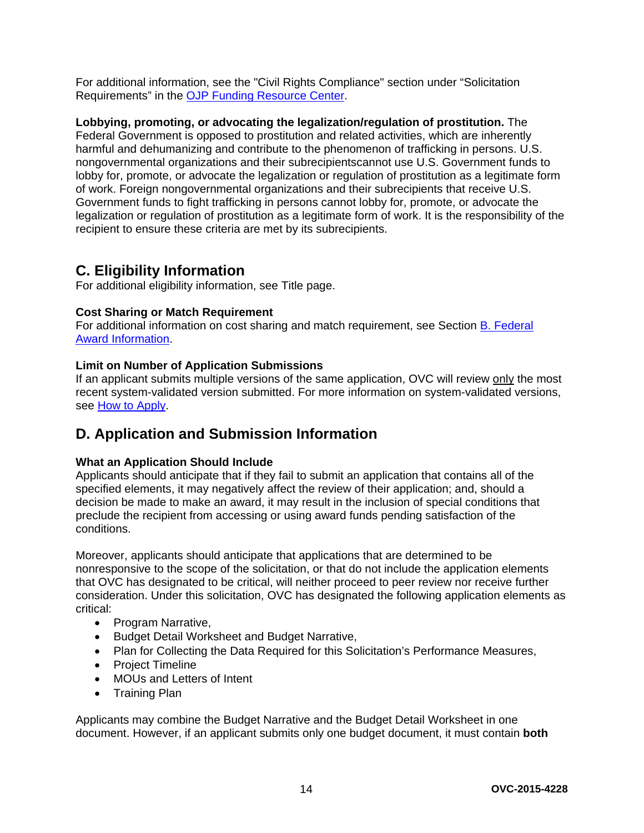For additional information, see the "Civil Rights Compliance" section under "Solicitation Requirements" in the [OJP Funding Resource Center.](http://ojp.gov/funding/index.htm)

**Lobbying, promoting, or advocating the legalization/regulation of prostitution.** The Federal Government is opposed to prostitution and related activities, which are inherently harmful and dehumanizing and contribute to the phenomenon of trafficking in persons. U.S. nongovernmental organizations and their subrecipientscannot use U.S. Government funds to lobby for, promote, or advocate the legalization or regulation of prostitution as a legitimate form of work. Foreign nongovernmental organizations and their subrecipients that receive U.S. Government funds to fight trafficking in persons cannot lobby for, promote, or advocate the legalization or regulation of prostitution as a legitimate form of work. It is the responsibility of the recipient to ensure these criteria are met by its subrecipients.

## <span id="page-13-0"></span>**C. Eligibility Information**

For additional eligibility information, see Title page.

#### <span id="page-13-2"></span>**Cost Sharing or Match Requirement**

For additional information on cost sharing and match requirement, see Section [B. Federal](#page-10-0)  [Award Information.](#page-10-0)

#### <span id="page-13-3"></span>**Limit on Number of Application Submissions**

If an applicant submits multiple versions of the same application, OVC will review only the most recent system-validated version submitted. For more information on system-validated versions, see [How to Apply.](#page-27-0)

## <span id="page-13-1"></span>**D. Application and Submission Information**

#### <span id="page-13-4"></span>**What an Application Should Include**

Applicants should anticipate that if they fail to submit an application that contains all of the specified elements, it may negatively affect the review of their application; and, should a decision be made to make an award, it may result in the inclusion of special conditions that preclude the recipient from accessing or using award funds pending satisfaction of the conditions.

Moreover, applicants should anticipate that applications that are determined to be nonresponsive to the scope of the solicitation, or that do not include the application elements that OVC has designated to be critical, will neither proceed to peer review nor receive further consideration. Under this solicitation, OVC has designated the following application elements as critical:

- Program Narrative,
- Budget Detail Worksheet and Budget Narrative,
- Plan for Collecting the Data Required for this Solicitation's Performance Measures,
- Project Timeline
- MOUs and Letters of Intent
- Training Plan

Applicants may combine the Budget Narrative and the Budget Detail Worksheet in one document. However, if an applicant submits only one budget document, it must contain **both**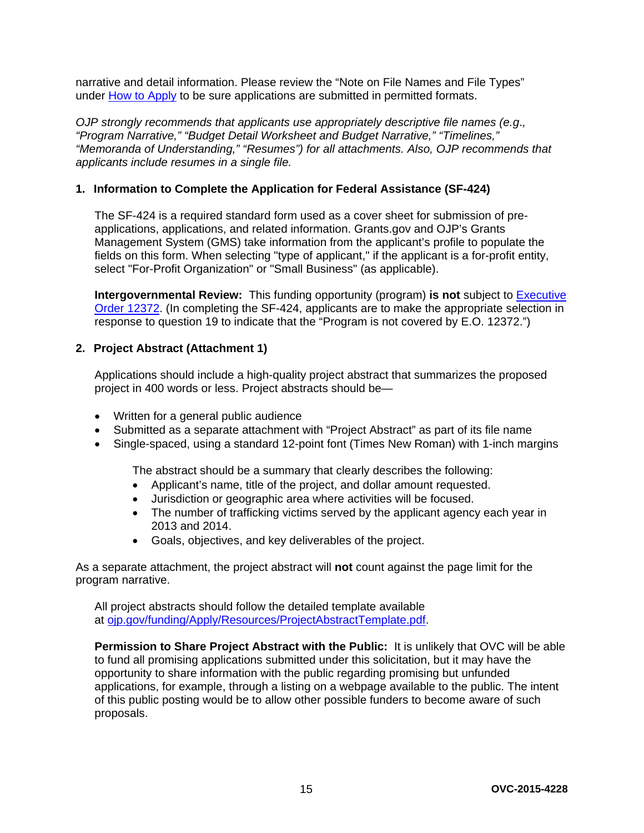narrative and detail information. Please review the "Note on File Names and File Types" under [How to Apply](#page-27-0) to be sure applications are submitted in permitted formats.

*OJP strongly recommends that applicants use appropriately descriptive file names (e.g*.*, "Program Narrative," "Budget Detail Worksheet and Budget Narrative," "Timelines," "Memoranda of Understanding," "Resumes") for all attachments. Also, OJP recommends that applicants include resumes in a single file.*

#### **1. Information to Complete the Application for Federal Assistance (SF-424)**

The SF-424 is a required standard form used as a cover sheet for submission of preapplications, applications, and related information. Grants.gov and OJP's Grants Management System (GMS) take information from the applicant's profile to populate the fields on this form. When selecting "type of applicant," if the applicant is a for-profit entity, select "For-Profit Organization" or "Small Business" (as applicable).

**Intergovernmental Review:** This funding opportunity (program) **is not** subject to **Executive** [Order 12372.](http://www.archives.gov/federal-register/codification/executive-order/12372.html) (In completing the SF-424, applicants are to make the appropriate selection in response to question 19 to indicate that the "Program is not covered by E.O. 12372.")

#### **2. Project Abstract (Attachment 1)**

Applications should include a high-quality project abstract that summarizes the proposed project in 400 words or less. Project abstracts should be—

- Written for a general public audience
- Submitted as a separate attachment with "Project Abstract" as part of its file name
- Single-spaced, using a standard 12-point font (Times New Roman) with 1-inch margins

The abstract should be a summary that clearly describes the following:

- Applicant's name, title of the project, and dollar amount requested.
- Jurisdiction or geographic area where activities will be focused.
- The number of trafficking victims served by the applicant agency each year in 2013 and 2014.
- Goals, objectives, and key deliverables of the project.

As a separate attachment, the project abstract will **not** count against the page limit for the program narrative.

All project abstracts should follow the detailed template available at [ojp.gov/funding/Apply/Resources/ProjectAbstractTemplate.pdf.](http://ojp.gov/funding/Apply/Resources/ProjectAbstractTemplate.pdf)

**Permission to Share Project Abstract with the Public:** It is unlikely that OVC will be able to fund all promising applications submitted under this solicitation, but it may have the opportunity to share information with the public regarding promising but unfunded applications, for example, through a listing on a webpage available to the public. The intent of this public posting would be to allow other possible funders to become aware of such proposals.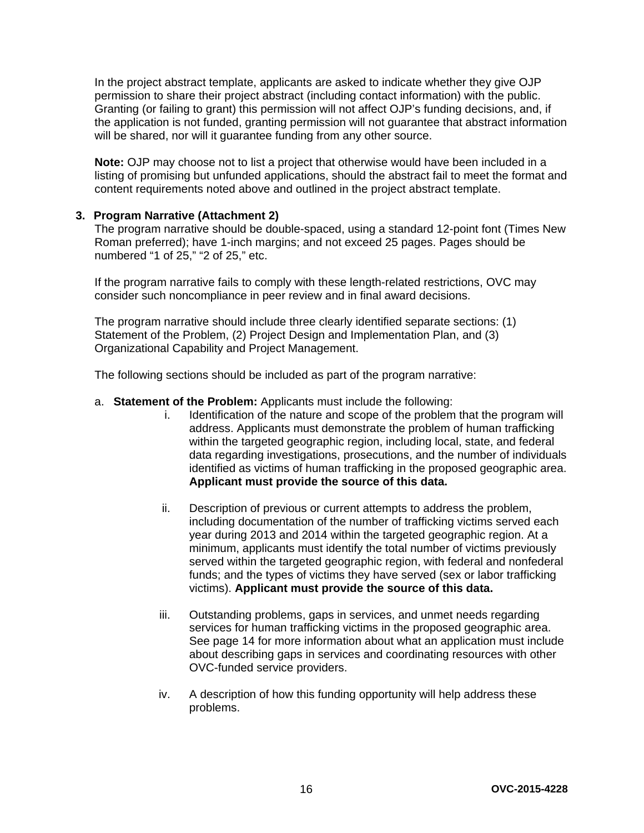In the project abstract template, applicants are asked to indicate whether they give OJP permission to share their project abstract (including contact information) with the public. Granting (or failing to grant) this permission will not affect OJP's funding decisions, and, if the application is not funded, granting permission will not guarantee that abstract information will be shared, nor will it guarantee funding from any other source.

**Note:** OJP may choose not to list a project that otherwise would have been included in a listing of promising but unfunded applications, should the abstract fail to meet the format and content requirements noted above and outlined in the project abstract template.

#### **3. Program Narrative (Attachment 2)**

The program narrative should be double-spaced, using a standard 12-point font (Times New Roman preferred); have 1-inch margins; and not exceed 25 pages. Pages should be numbered "1 of 25," "2 of 25," etc.

If the program narrative fails to comply with these length-related restrictions, OVC may consider such noncompliance in peer review and in final award decisions.

The program narrative should include three clearly identified separate sections: (1) Statement of the Problem, (2) Project Design and Implementation Plan, and (3) Organizational Capability and Project Management.

The following sections should be included as part of the program narrative:

- a. **Statement of the Problem:** Applicants must include the following:
	- i. Identification of the nature and scope of the problem that the program will address. Applicants must demonstrate the problem of human trafficking within the targeted geographic region, including local, state, and federal data regarding investigations, prosecutions, and the number of individuals identified as victims of human trafficking in the proposed geographic area. **Applicant must provide the source of this data.**
	- ii. Description of previous or current attempts to address the problem, including documentation of the number of trafficking victims served each year during 2013 and 2014 within the targeted geographic region. At a minimum, applicants must identify the total number of victims previously served within the targeted geographic region, with federal and nonfederal funds; and the types of victims they have served (sex or labor trafficking victims). **Applicant must provide the source of this data.**
	- iii. Outstanding problems, gaps in services, and unmet needs regarding services for human trafficking victims in the proposed geographic area. See page 14 for more information about what an application must include about describing gaps in services and coordinating resources with other OVC-funded service providers.
	- iv. A description of how this funding opportunity will help address these problems.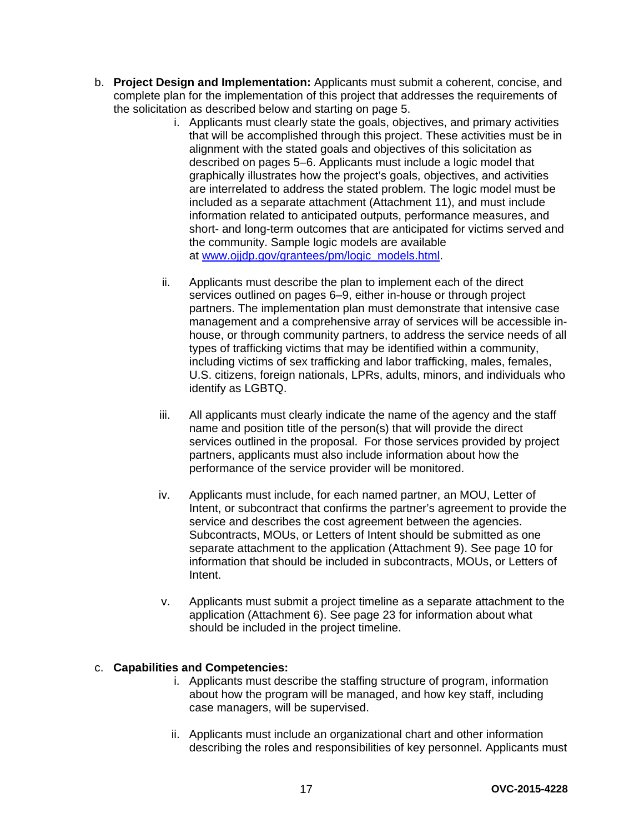- b. **Project Design and Implementation:** Applicants must submit a coherent, concise, and complete plan for the implementation of this project that addresses the requirements of the solicitation as described below and starting on page 5.
	- i. Applicants must clearly state the goals, objectives, and primary activities that will be accomplished through this project. These activities must be in alignment with the stated goals and objectives of this solicitation as described on pages 5–6. Applicants must include a logic model that graphically illustrates how the project's goals, objectives, and activities are interrelated to address the stated problem. The logic model must be included as a separate attachment (Attachment 11), and must include information related to anticipated outputs, performance measures, and short- and long-term outcomes that are anticipated for victims served and the community. Sample logic models are available at [www.ojjdp.gov/grantees/pm/logic\\_models.html.](http://www.ojjdp.gov/grantees/pm/logic_models.html)
	- ii. Applicants must describe the plan to implement each of the direct services outlined on pages 6–9, either in-house or through project partners. The implementation plan must demonstrate that intensive case management and a comprehensive array of services will be accessible inhouse, or through community partners, to address the service needs of all types of trafficking victims that may be identified within a community, including victims of sex trafficking and labor trafficking, males, females, U.S. citizens, foreign nationals, LPRs, adults, minors, and individuals who identify as LGBTQ.
	- iii. All applicants must clearly indicate the name of the agency and the staff name and position title of the person(s) that will provide the direct services outlined in the proposal. For those services provided by project partners, applicants must also include information about how the performance of the service provider will be monitored.
	- iv. Applicants must include, for each named partner, an MOU, Letter of Intent, or subcontract that confirms the partner's agreement to provide the service and describes the cost agreement between the agencies. Subcontracts, MOUs, or Letters of Intent should be submitted as one separate attachment to the application (Attachment 9). See page 10 for information that should be included in subcontracts, MOUs, or Letters of Intent.
	- v. Applicants must submit a project timeline as a separate attachment to the application (Attachment 6). See page 23 for information about what should be included in the project timeline.

#### c. **Capabilities and Competencies:**

- i. Applicants must describe the staffing structure of program, information about how the program will be managed, and how key staff, including case managers, will be supervised.
- ii. Applicants must include an organizational chart and other information describing the roles and responsibilities of key personnel. Applicants must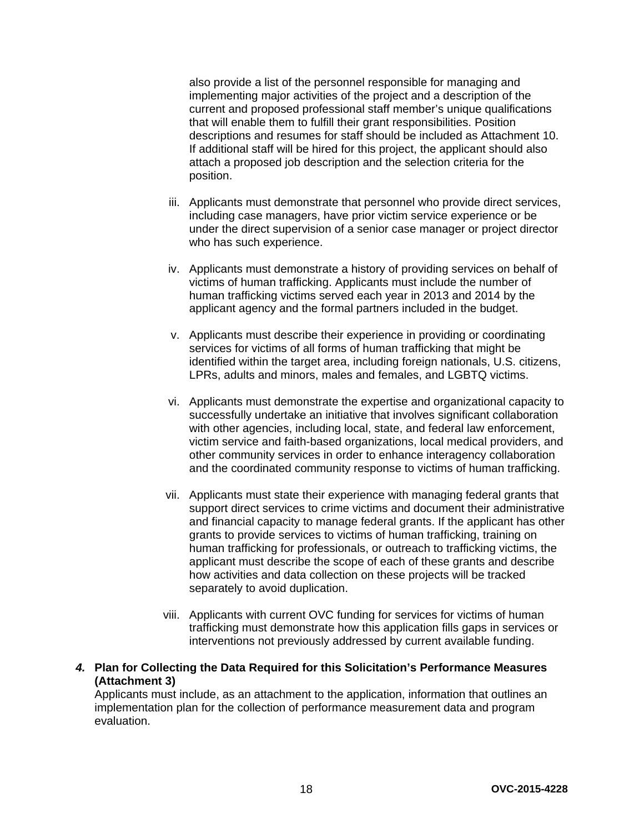also provide a list of the personnel responsible for managing and implementing major activities of the project and a description of the current and proposed professional staff member's unique qualifications that will enable them to fulfill their grant responsibilities. Position descriptions and resumes for staff should be included as Attachment 10. If additional staff will be hired for this project, the applicant should also attach a proposed job description and the selection criteria for the position.

- iii. Applicants must demonstrate that personnel who provide direct services, including case managers, have prior victim service experience or be under the direct supervision of a senior case manager or project director who has such experience.
- iv. Applicants must demonstrate a history of providing services on behalf of victims of human trafficking. Applicants must include the number of human trafficking victims served each year in 2013 and 2014 by the applicant agency and the formal partners included in the budget.
- v. Applicants must describe their experience in providing or coordinating services for victims of all forms of human trafficking that might be identified within the target area, including foreign nationals, U.S. citizens, LPRs, adults and minors, males and females, and LGBTQ victims.
- vi. Applicants must demonstrate the expertise and organizational capacity to successfully undertake an initiative that involves significant collaboration with other agencies, including local, state, and federal law enforcement, victim service and faith-based organizations, local medical providers, and other community services in order to enhance interagency collaboration and the coordinated community response to victims of human trafficking.
- vii. Applicants must state their experience with managing federal grants that support direct services to crime victims and document their administrative and financial capacity to manage federal grants. If the applicant has other grants to provide services to victims of human trafficking, training on human trafficking for professionals, or outreach to trafficking victims, the applicant must describe the scope of each of these grants and describe how activities and data collection on these projects will be tracked separately to avoid duplication.
- viii. Applicants with current OVC funding for services for victims of human trafficking must demonstrate how this application fills gaps in services or interventions not previously addressed by current available funding.
- *4.* **Plan for Collecting the Data Required for this Solicitation's Performance Measures (Attachment 3)**

Applicants must include, as an attachment to the application, information that outlines an implementation plan for the collection of performance measurement data and program evaluation.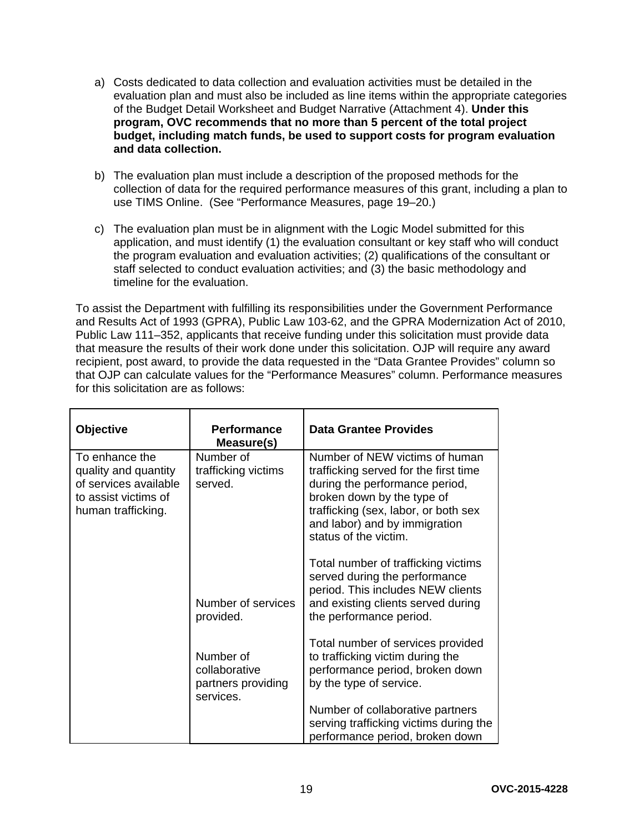- a) Costs dedicated to data collection and evaluation activities must be detailed in the evaluation plan and must also be included as line items within the appropriate categories of the Budget Detail Worksheet and Budget Narrative (Attachment 4). **Under this program, OVC recommends that no more than 5 percent of the total project budget, including match funds, be used to support costs for program evaluation and data collection.**
- b) The evaluation plan must include a description of the proposed methods for the collection of data for the required performance measures of this grant, including a plan to use TIMS Online. (See "Performance Measures, page 19–20.)
- c) The evaluation plan must be in alignment with the Logic Model submitted for this application, and must identify (1) the evaluation consultant or key staff who will conduct the program evaluation and evaluation activities; (2) qualifications of the consultant or staff selected to conduct evaluation activities; and (3) the basic methodology and timeline for the evaluation.

To assist the Department with fulfilling its responsibilities under the Government Performance and Results Act of 1993 (GPRA), Public Law 103-62, and the GPRA Modernization Act of 2010, Public Law 111–352, applicants that receive funding under this solicitation must provide data that measure the results of their work done under this solicitation. OJP will require any award recipient, post award, to provide the data requested in the "Data Grantee Provides" column so that OJP can calculate values for the "Performance Measures" column. Performance measures for this solicitation are as follows:

| <b>Objective</b>                                                                                              | <b>Performance</b><br>Measure(s)                              | <b>Data Grantee Provides</b>                                                                                                                                                                                                              |
|---------------------------------------------------------------------------------------------------------------|---------------------------------------------------------------|-------------------------------------------------------------------------------------------------------------------------------------------------------------------------------------------------------------------------------------------|
| To enhance the<br>quality and quantity<br>of services available<br>to assist victims of<br>human trafficking. | Number of<br>trafficking victims<br>served.                   | Number of NEW victims of human<br>trafficking served for the first time<br>during the performance period,<br>broken down by the type of<br>trafficking (sex, labor, or both sex<br>and labor) and by immigration<br>status of the victim. |
|                                                                                                               | Number of services<br>provided.                               | Total number of trafficking victims<br>served during the performance<br>period. This includes NEW clients<br>and existing clients served during<br>the performance period.                                                                |
|                                                                                                               | Number of<br>collaborative<br>partners providing<br>services. | Total number of services provided<br>to trafficking victim during the<br>performance period, broken down<br>by the type of service.                                                                                                       |
|                                                                                                               |                                                               | Number of collaborative partners<br>serving trafficking victims during the<br>performance period, broken down                                                                                                                             |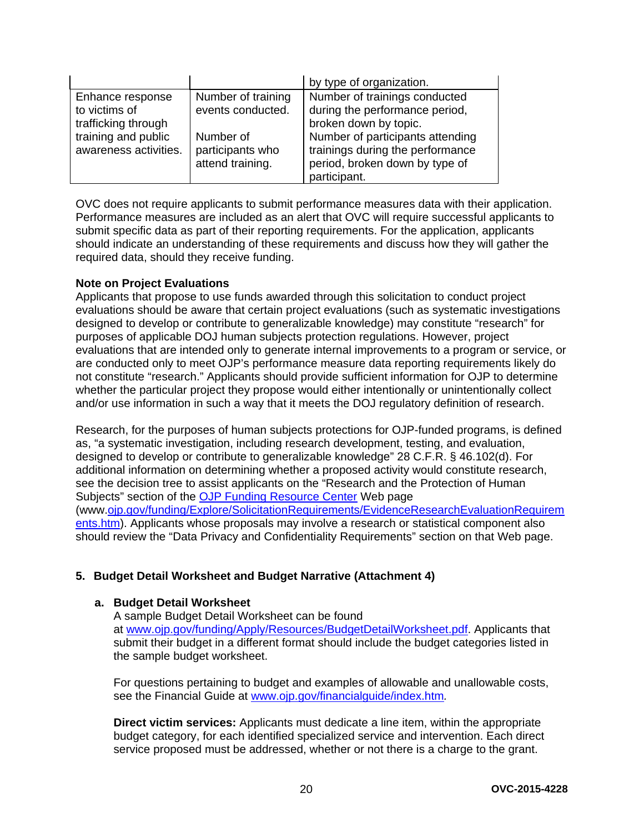|                                                          |                                                   | by type of organization.                                                                                               |
|----------------------------------------------------------|---------------------------------------------------|------------------------------------------------------------------------------------------------------------------------|
| Enhance response<br>to victims of<br>trafficking through | Number of training<br>events conducted.           | Number of trainings conducted<br>during the performance period,<br>broken down by topic.                               |
| training and public<br>awareness activities.             | Number of<br>participants who<br>attend training. | Number of participants attending<br>trainings during the performance<br>period, broken down by type of<br>participant. |

OVC does not require applicants to submit performance measures data with their application. Performance measures are included as an alert that OVC will require successful applicants to submit specific data as part of their reporting requirements. For the application, applicants should indicate an understanding of these requirements and discuss how they will gather the required data, should they receive funding.

#### **Note on Project Evaluations**

Applicants that propose to use funds awarded through this solicitation to conduct project evaluations should be aware that certain project evaluations (such as systematic investigations designed to develop or contribute to generalizable knowledge) may constitute "research" for purposes of applicable DOJ human subjects protection regulations. However, project evaluations that are intended only to generate internal improvements to a program or service, or are conducted only to meet OJP's performance measure data reporting requirements likely do not constitute "research." Applicants should provide sufficient information for OJP to determine whether the particular project they propose would either intentionally or unintentionally collect and/or use information in such a way that it meets the DOJ regulatory definition of research.

Research, for the purposes of human subjects protections for OJP-funded programs, is defined as, "a systematic investigation, including research development, testing, and evaluation, designed to develop or contribute to generalizable knowledge" 28 C.F.R. § 46.102(d). For additional information on determining whether a proposed activity would constitute research, see the decision tree to assist applicants on the "Research and the Protection of Human Subjects" section of the **OJP Funding Resource Center** Web page (www[.ojp.gov/funding/Explore/SolicitationRequirements/EvidenceResearchEvaluationRequirem](http://ojp.gov/funding/Explore/SolicitationRequirements/EvidenceResearchEvaluationRequirements.htm) [ents.htm\)](http://ojp.gov/funding/Explore/SolicitationRequirements/EvidenceResearchEvaluationRequirements.htm). Applicants whose proposals may involve a research or statistical component also should review the "Data Privacy and Confidentiality Requirements" section on that Web page.

#### **5. Budget Detail Worksheet and Budget Narrative (Attachment 4)**

#### **a. Budget Detail Worksheet**

A sample Budget Detail Worksheet can be found at [www.ojp.gov/funding/Apply/Resources/BudgetDetailWorksheet.pdf.](http://ojp.gov/funding/Apply/Resources/BudgetDetailWorksheet.pdf) Applicants that submit their budget in a different format should include the budget categories listed in the sample budget worksheet.

For questions pertaining to budget and examples of allowable and unallowable costs, see the Financial Guide at [www.ojp.gov/financialguide/index.htm](http://www.ojp.gov/financialguide/index.htm)*.*

**Direct victim services:** Applicants must dedicate a line item, within the appropriate budget category, for each identified specialized service and intervention. Each direct service proposed must be addressed, whether or not there is a charge to the grant.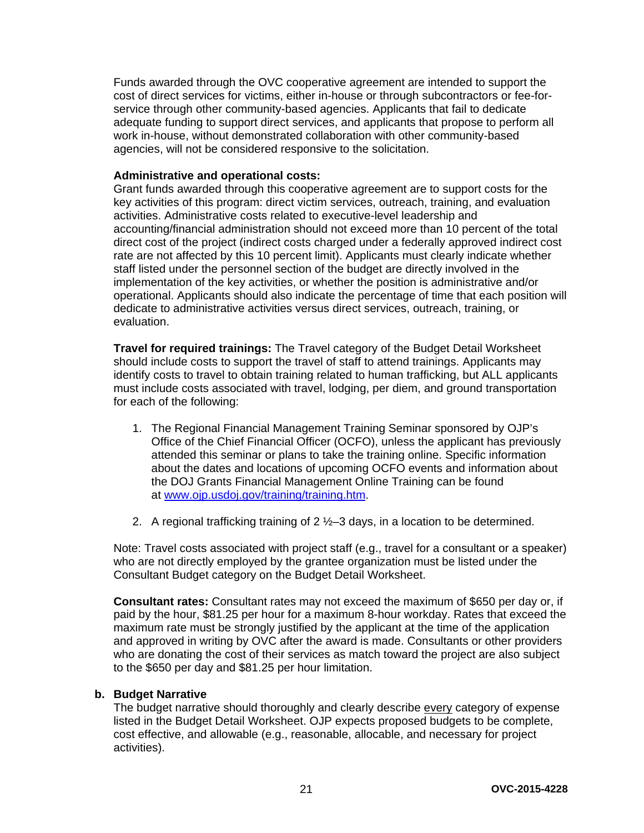Funds awarded through the OVC cooperative agreement are intended to support the cost of direct services for victims, either in-house or through subcontractors or fee-forservice through other community-based agencies. Applicants that fail to dedicate adequate funding to support direct services, and applicants that propose to perform all work in-house, without demonstrated collaboration with other community-based agencies, will not be considered responsive to the solicitation.

#### **Administrative and operational costs:**

Grant funds awarded through this cooperative agreement are to support costs for the key activities of this program: direct victim services, outreach, training, and evaluation activities. Administrative costs related to executive-level leadership and accounting/financial administration should not exceed more than 10 percent of the total direct cost of the project (indirect costs charged under a federally approved indirect cost rate are not affected by this 10 percent limit). Applicants must clearly indicate whether staff listed under the personnel section of the budget are directly involved in the implementation of the key activities, or whether the position is administrative and/or operational. Applicants should also indicate the percentage of time that each position will dedicate to administrative activities versus direct services, outreach, training, or evaluation.

**Travel for required trainings:** The Travel category of the Budget Detail Worksheet should include costs to support the travel of staff to attend trainings. Applicants may identify costs to travel to obtain training related to human trafficking, but ALL applicants must include costs associated with travel, lodging, per diem, and ground transportation for each of the following:

- 1. The Regional Financial Management Training Seminar sponsored by OJP's Office of the Chief Financial Officer (OCFO), unless the applicant has previously attended this seminar or plans to take the training online. Specific information about the dates and locations of upcoming OCFO events and information about the DOJ Grants Financial Management Online Training can be found at [www.ojp.usdoj.gov/training/training.htm.](http://www.ojp.usdoj.gov/training/training.htm)
- 2. A regional trafficking training of 2 ½–3 days, in a location to be determined.

Note: Travel costs associated with project staff (e.g., travel for a consultant or a speaker) who are not directly employed by the grantee organization must be listed under the Consultant Budget category on the Budget Detail Worksheet.

**Consultant rates:** Consultant rates may not exceed the maximum of \$650 per day or, if paid by the hour, \$81.25 per hour for a maximum 8-hour workday. Rates that exceed the maximum rate must be strongly justified by the applicant at the time of the application and approved in writing by OVC after the award is made. Consultants or other providers who are donating the cost of their services as match toward the project are also subject to the \$650 per day and \$81.25 per hour limitation.

#### **b. Budget Narrative**

The budget narrative should thoroughly and clearly describe every category of expense listed in the Budget Detail Worksheet. OJP expects proposed budgets to be complete, cost effective, and allowable (e.g., reasonable, allocable, and necessary for project activities).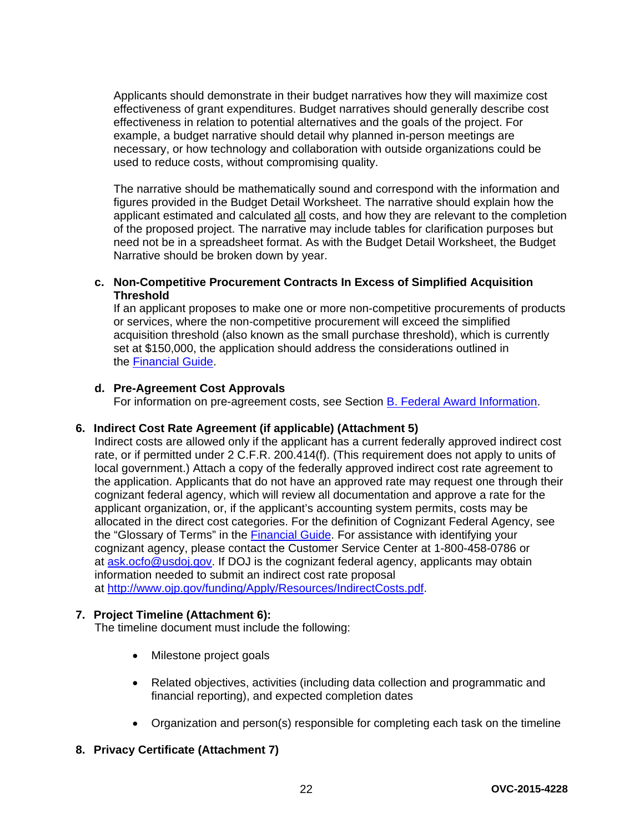Applicants should demonstrate in their budget narratives how they will maximize cost effectiveness of grant expenditures. Budget narratives should generally describe cost effectiveness in relation to potential alternatives and the goals of the project. For example, a budget narrative should detail why planned in-person meetings are necessary, or how technology and collaboration with outside organizations could be used to reduce costs, without compromising quality.

The narrative should be mathematically sound and correspond with the information and figures provided in the Budget Detail Worksheet. The narrative should explain how the applicant estimated and calculated all costs, and how they are relevant to the completion of the proposed project. The narrative may include tables for clarification purposes but need not be in a spreadsheet format. As with the Budget Detail Worksheet, the Budget Narrative should be broken down by year.

#### **c. Non-Competitive Procurement Contracts In Excess of Simplified Acquisition Threshold**

If an applicant proposes to make one or more non-competitive procurements of products or services, where the non-competitive procurement will exceed the simplified acquisition threshold (also known as the small purchase threshold), which is currently set at \$150,000, the application should address the considerations outlined in the [Financial Guide.](http://ojp.gov/financialguide/index.htm)

#### **d. Pre-Agreement Cost Approvals**

For information on pre-agreement costs, see Section [B. Federal Award Information.](#page-10-0)

#### **6. Indirect Cost Rate Agreement (if applicable) (Attachment 5)**

Indirect costs are allowed only if the applicant has a current federally approved indirect cost rate, or if permitted under 2 C.F.R. 200.414(f). (This requirement does not apply to units of local government.) Attach a copy of the federally approved indirect cost rate agreement to the application. Applicants that do not have an approved rate may request one through their cognizant federal agency, which will review all documentation and approve a rate for the applicant organization, or, if the applicant's accounting system permits, costs may be allocated in the direct cost categories. For the definition of Cognizant Federal Agency, see the "Glossary of Terms" in the [Financial Guide.](http://ojp.gov/financialguide/index.htm) For assistance with identifying your cognizant agency, please contact the Customer Service Center at 1-800-458-0786 or at [ask.ocfo@usdoj.gov.](mailto:ask.ocfo@usdoj.gov) If DOJ is the cognizant federal agency, applicants may obtain information needed to submit an indirect cost rate proposal at [http://www.ojp.gov/funding/Apply/Resources/IndirectCosts.pdf.](http://www.ojp.gov/funding/Apply/Resources/IndirectCosts.pdf)

#### **7. Project Timeline (Attachment 6):**

The timeline document must include the following:

- Milestone project goals
- Related objectives, activities (including data collection and programmatic and financial reporting), and expected completion dates
- Organization and person(s) responsible for completing each task on the timeline

#### **8. Privacy Certificate (Attachment 7)**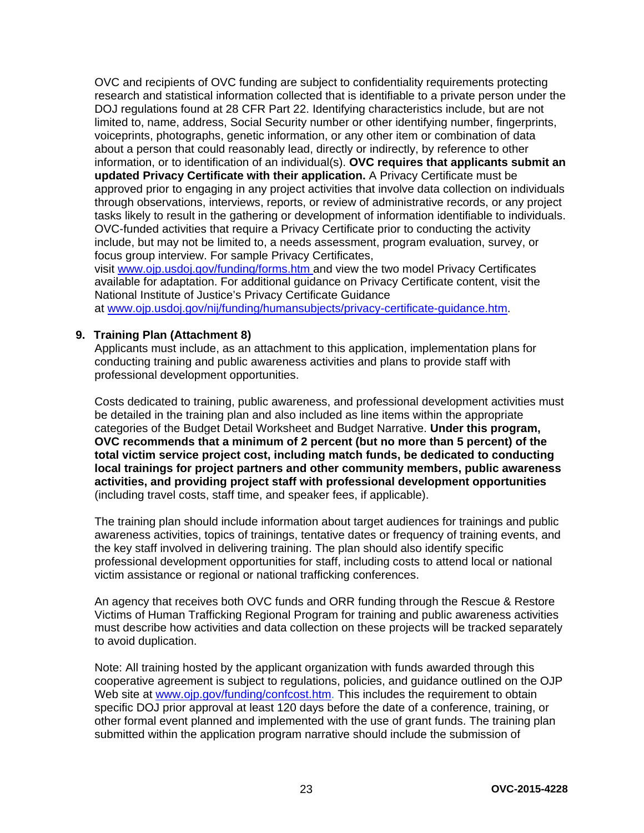OVC and recipients of OVC funding are subject to confidentiality requirements protecting research and statistical information collected that is identifiable to a private person under the DOJ regulations found at 28 CFR Part 22. Identifying characteristics include, but are not limited to, name, address, Social Security number or other identifying number, fingerprints, voiceprints, photographs, genetic information, or any other item or combination of data about a person that could reasonably lead, directly or indirectly, by reference to other information, or to identification of an individual(s). **OVC requires that applicants submit an updated Privacy Certificate with their application.** A Privacy Certificate must be approved prior to engaging in any project activities that involve data collection on individuals through observations, interviews, reports, or review of administrative records, or any project tasks likely to result in the gathering or development of information identifiable to individuals. OVC-funded activities that require a Privacy Certificate prior to conducting the activity include, but may not be limited to, a needs assessment, program evaluation, survey, or focus group interview. For sample Privacy Certificates,

visit [www.ojp.usdoj.gov/funding/forms.htm a](http://www.ojp.usdoj.gov/funding/forms.htm)nd view the two model Privacy Certificates available for adaptation. For additional guidance on Privacy Certificate content, visit the National Institute of Justice's Privacy Certificate Guidance

at [www.ojp.usdoj.gov/nij/funding/humansubjects/privacy-certificate-guidance.htm.](http://www.ojp.usdoj.gov/nij/funding/humansubjects/privacy-certificate-guidance.htm)

#### **9. Training Plan (Attachment 8)**

Applicants must include, as an attachment to this application, implementation plans for conducting training and public awareness activities and plans to provide staff with professional development opportunities.

Costs dedicated to training, public awareness, and professional development activities must be detailed in the training plan and also included as line items within the appropriate categories of the Budget Detail Worksheet and Budget Narrative. **Under this program, OVC recommends that a minimum of 2 percent (but no more than 5 percent) of the total victim service project cost, including match funds, be dedicated to conducting local trainings for project partners and other community members, public awareness activities, and providing project staff with professional development opportunities**  (including travel costs, staff time, and speaker fees, if applicable).

The training plan should include information about target audiences for trainings and public awareness activities, topics of trainings, tentative dates or frequency of training events, and the key staff involved in delivering training. The plan should also identify specific professional development opportunities for staff, including costs to attend local or national victim assistance or regional or national trafficking conferences.

An agency that receives both OVC funds and ORR funding through the Rescue & Restore Victims of Human Trafficking Regional Program for training and public awareness activities must describe how activities and data collection on these projects will be tracked separately to avoid duplication.

Note: All training hosted by the applicant organization with funds awarded through this cooperative agreement is subject to regulations, policies, and guidance outlined on the OJP Web site at [www.ojp.gov/funding/confcost.htm.](http://www.ojp.gov/funding/confcost.htm) This includes the requirement to obtain specific DOJ prior approval at least 120 days before the date of a conference, training, or other formal event planned and implemented with the use of grant funds. The training plan submitted within the application program narrative should include the submission of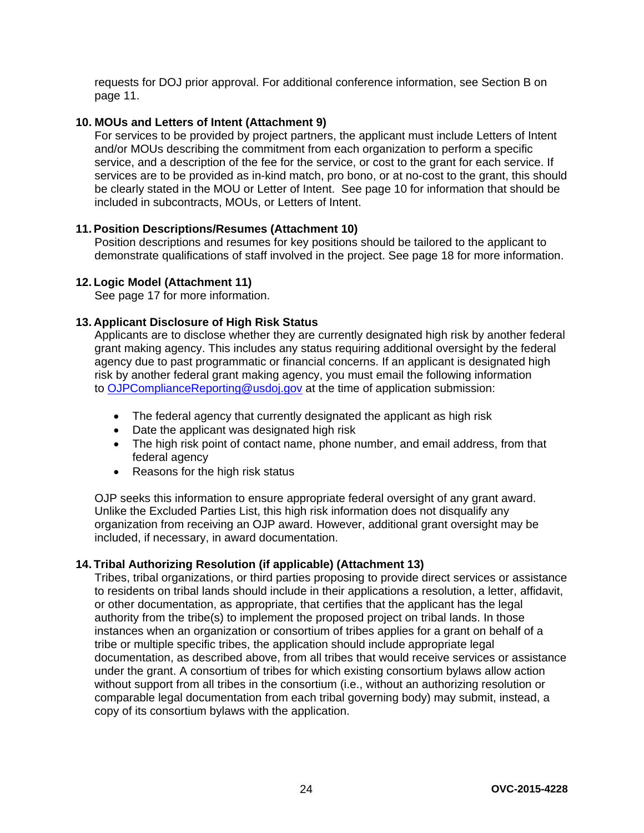requests for DOJ prior approval. For additional conference information, see Section B on page 11.

#### **10. MOUs and Letters of Intent (Attachment 9)**

For services to be provided by project partners, the applicant must include Letters of Intent and/or MOUs describing the commitment from each organization to perform a specific service, and a description of the fee for the service, or cost to the grant for each service. If services are to be provided as in-kind match, pro bono, or at no-cost to the grant, this should be clearly stated in the MOU or Letter of Intent. See page 10 for information that should be included in subcontracts, MOUs, or Letters of Intent.

#### **11. Position Descriptions/Resumes (Attachment 10)**

Position descriptions and resumes for key positions should be tailored to the applicant to demonstrate qualifications of staff involved in the project. See page 18 for more information.

#### **12. Logic Model (Attachment 11)**

See page 17 for more information.

#### **13. Applicant Disclosure of High Risk Status**

Applicants are to disclose whether they are currently designated high risk by another federal grant making agency. This includes any status requiring additional oversight by the federal agency due to past programmatic or financial concerns. If an applicant is designated high risk by another federal grant making agency, you must email the following information to [OJPComplianceReporting@usdoj.gov](mailto:OJPComplianceReporting@usdoj.gov) at the time of application submission:

- The federal agency that currently designated the applicant as high risk
- Date the applicant was designated high risk
- The high risk point of contact name, phone number, and email address, from that federal agency
- Reasons for the high risk status

OJP seeks this information to ensure appropriate federal oversight of any grant award. Unlike the Excluded Parties List, this high risk information does not disqualify any organization from receiving an OJP award. However, additional grant oversight may be included, if necessary, in award documentation.

#### **14. Tribal Authorizing Resolution (if applicable) (Attachment 13)**

Tribes, tribal organizations, or third parties proposing to provide direct services or assistance to residents on tribal lands should include in their applications a resolution, a letter, affidavit, or other documentation, as appropriate, that certifies that the applicant has the legal authority from the tribe(s) to implement the proposed project on tribal lands. In those instances when an organization or consortium of tribes applies for a grant on behalf of a tribe or multiple specific tribes, the application should include appropriate legal documentation, as described above, from all tribes that would receive services or assistance under the grant. A consortium of tribes for which existing consortium bylaws allow action without support from all tribes in the consortium (i.e., without an authorizing resolution or comparable legal documentation from each tribal governing body) may submit, instead, a copy of its consortium bylaws with the application.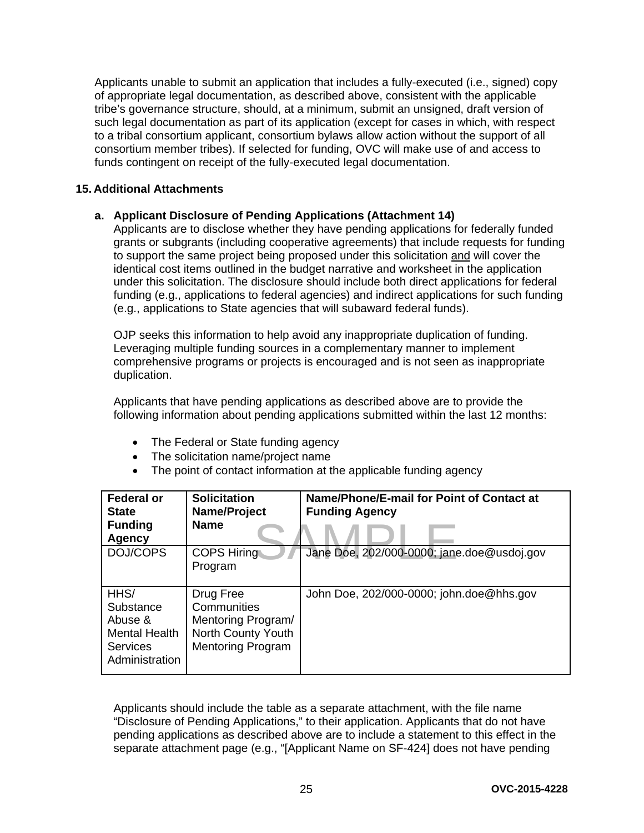Applicants unable to submit an application that includes a fully-executed (i.e., signed) copy of appropriate legal documentation, as described above, consistent with the applicable tribe's governance structure, should, at a minimum, submit an unsigned, draft version of such legal documentation as part of its application (except for cases in which, with respect to a tribal consortium applicant, consortium bylaws allow action without the support of all consortium member tribes). If selected for funding, OVC will make use of and access to funds contingent on receipt of the fully-executed legal documentation.

#### **15. Additional Attachments**

#### **a. Applicant Disclosure of Pending Applications (Attachment 14)**

Applicants are to disclose whether they have pending applications for federally funded grants or subgrants (including cooperative agreements) that include requests for funding to support the same project being proposed under this solicitation and will cover the identical cost items outlined in the budget narrative and worksheet in the application under this solicitation. The disclosure should include both direct applications for federal funding (e.g., applications to federal agencies) and indirect applications for such funding (e.g., applications to State agencies that will subaward federal funds).

OJP seeks this information to help avoid any inappropriate duplication of funding. Leveraging multiple funding sources in a complementary manner to implement comprehensive programs or projects is encouraged and is not seen as inappropriate duplication.

Applicants that have pending applications as described above are to provide the following information about pending applications submitted within the last 12 months:

- The Federal or State funding agency
- The solicitation name/project name
- The point of contact information at the applicable funding agency

| <b>Federal or</b><br><b>State</b><br><b>Funding</b><br>Agency                      | <b>Solicitation</b><br>Name/Project<br><b>Name</b>                                               | Name/Phone/E-mail for Point of Contact at<br><b>Funding Agency</b> |
|------------------------------------------------------------------------------------|--------------------------------------------------------------------------------------------------|--------------------------------------------------------------------|
| DOJ/COPS                                                                           | <b>COPS Hiring</b><br>Program                                                                    | Jane Doe, 202/000-0000; jane.doe@usdoj.gov                         |
| HHS/<br>Substance<br>Abuse &<br>Mental Health<br><b>Services</b><br>Administration | Drug Free<br>Communities<br>Mentoring Program/<br>North County Youth<br><b>Mentoring Program</b> | John Doe, 202/000-0000; john.doe@hhs.gov                           |

Applicants should include the table as a separate attachment, with the file name "Disclosure of Pending Applications," to their application. Applicants that do not have pending applications as described above are to include a statement to this effect in the separate attachment page (e.g., "[Applicant Name on SF-424] does not have pending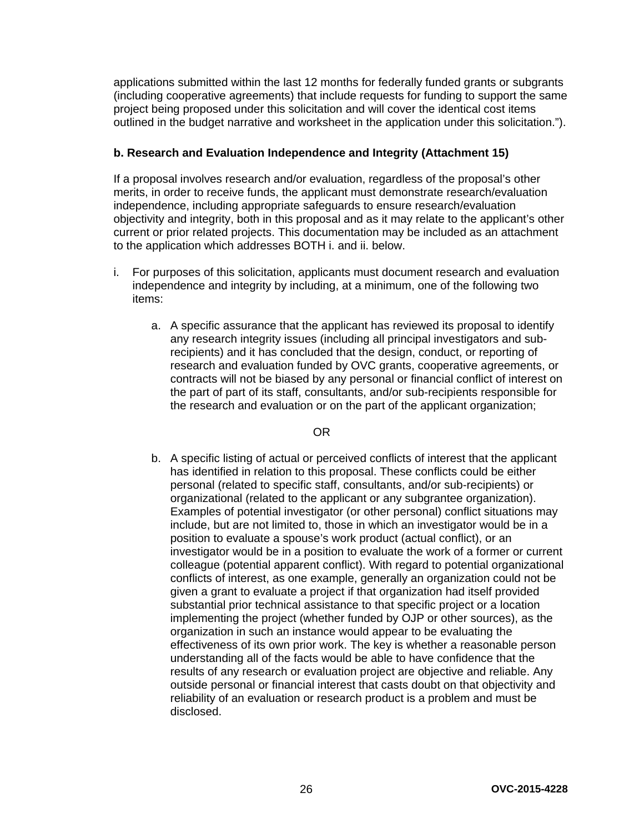applications submitted within the last 12 months for federally funded grants or subgrants (including cooperative agreements) that include requests for funding to support the same project being proposed under this solicitation and will cover the identical cost items outlined in the budget narrative and worksheet in the application under this solicitation.").

#### **b. Research and Evaluation Independence and Integrity (Attachment 15)**

If a proposal involves research and/or evaluation, regardless of the proposal's other merits, in order to receive funds, the applicant must demonstrate research/evaluation independence, including appropriate safeguards to ensure research/evaluation objectivity and integrity, both in this proposal and as it may relate to the applicant's other current or prior related projects. This documentation may be included as an attachment to the application which addresses BOTH i. and ii. below.

- i. For purposes of this solicitation, applicants must document research and evaluation independence and integrity by including, at a minimum, one of the following two items:
	- a. A specific assurance that the applicant has reviewed its proposal to identify any research integrity issues (including all principal investigators and subrecipients) and it has concluded that the design, conduct, or reporting of research and evaluation funded by OVC grants, cooperative agreements, or contracts will not be biased by any personal or financial conflict of interest on the part of part of its staff, consultants, and/or sub-recipients responsible for the research and evaluation or on the part of the applicant organization;

#### OR

b. A specific listing of actual or perceived conflicts of interest that the applicant has identified in relation to this proposal. These conflicts could be either personal (related to specific staff, consultants, and/or sub-recipients) or organizational (related to the applicant or any subgrantee organization). Examples of potential investigator (or other personal) conflict situations may include, but are not limited to, those in which an investigator would be in a position to evaluate a spouse's work product (actual conflict), or an investigator would be in a position to evaluate the work of a former or current colleague (potential apparent conflict). With regard to potential organizational conflicts of interest, as one example, generally an organization could not be given a grant to evaluate a project if that organization had itself provided substantial prior technical assistance to that specific project or a location implementing the project (whether funded by OJP or other sources), as the organization in such an instance would appear to be evaluating the effectiveness of its own prior work. The key is whether a reasonable person understanding all of the facts would be able to have confidence that the results of any research or evaluation project are objective and reliable. Any outside personal or financial interest that casts doubt on that objectivity and reliability of an evaluation or research product is a problem and must be disclosed.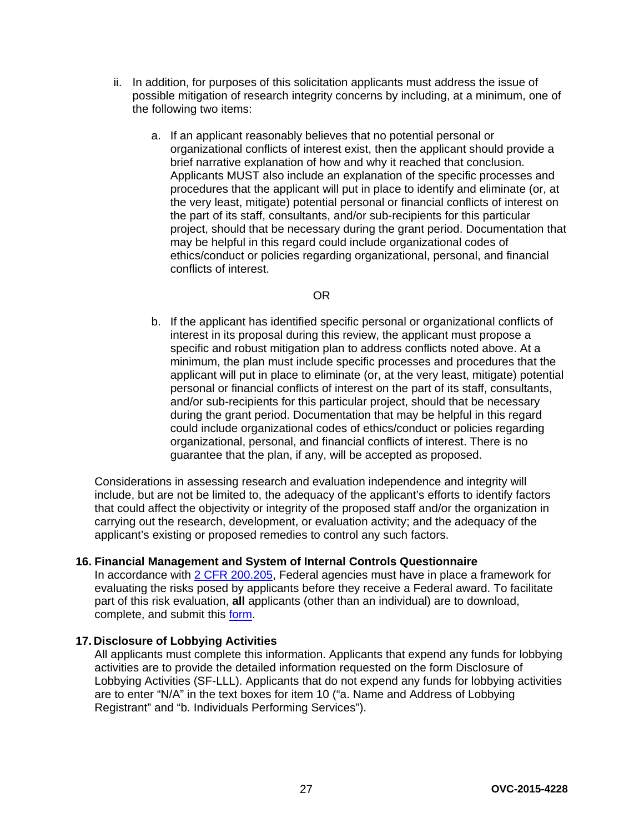- ii. In addition, for purposes of this solicitation applicants must address the issue of possible mitigation of research integrity concerns by including, at a minimum, one of the following two items:
	- a. If an applicant reasonably believes that no potential personal or organizational conflicts of interest exist, then the applicant should provide a brief narrative explanation of how and why it reached that conclusion. Applicants MUST also include an explanation of the specific processes and procedures that the applicant will put in place to identify and eliminate (or, at the very least, mitigate) potential personal or financial conflicts of interest on the part of its staff, consultants, and/or sub-recipients for this particular project, should that be necessary during the grant period. Documentation that may be helpful in this regard could include organizational codes of ethics/conduct or policies regarding organizational, personal, and financial conflicts of interest.

#### OR

b. If the applicant has identified specific personal or organizational conflicts of interest in its proposal during this review, the applicant must propose a specific and robust mitigation plan to address conflicts noted above. At a minimum, the plan must include specific processes and procedures that the applicant will put in place to eliminate (or, at the very least, mitigate) potential personal or financial conflicts of interest on the part of its staff, consultants, and/or sub-recipients for this particular project, should that be necessary during the grant period. Documentation that may be helpful in this regard could include organizational codes of ethics/conduct or policies regarding organizational, personal, and financial conflicts of interest. There is no guarantee that the plan, if any, will be accepted as proposed.

Considerations in assessing research and evaluation independence and integrity will include, but are not be limited to, the adequacy of the applicant's efforts to identify factors that could affect the objectivity or integrity of the proposed staff and/or the organization in carrying out the research, development, or evaluation activity; and the adequacy of the applicant's existing or proposed remedies to control any such factors.

#### **16. Financial Management and System of Internal Controls Questionnaire**

In accordance with [2 CFR 200.205,](http://www.ecfr.gov/cgi-bin/text-idx?SID=2ebfb13012953333f32ed4cf1411e33e&node=pt2.1.200&rgn=div5%23se2.1.200_1205) Federal agencies must have in place a framework for evaluating the risks posed by applicants before they receive a Federal award. To facilitate part of this risk evaluation, **all** applicants (other than an individual) are to download, complete, and submit this [form.](http://ojp.gov/funding/Apply/Resources/FinancialCapability.pdf)

#### **17. Disclosure of Lobbying Activities**

All applicants must complete this information. Applicants that expend any funds for lobbying activities are to provide the detailed information requested on the form Disclosure of Lobbying Activities (SF-LLL). Applicants that do not expend any funds for lobbying activities are to enter "N/A" in the text boxes for item 10 ("a. Name and Address of Lobbying Registrant" and "b. Individuals Performing Services").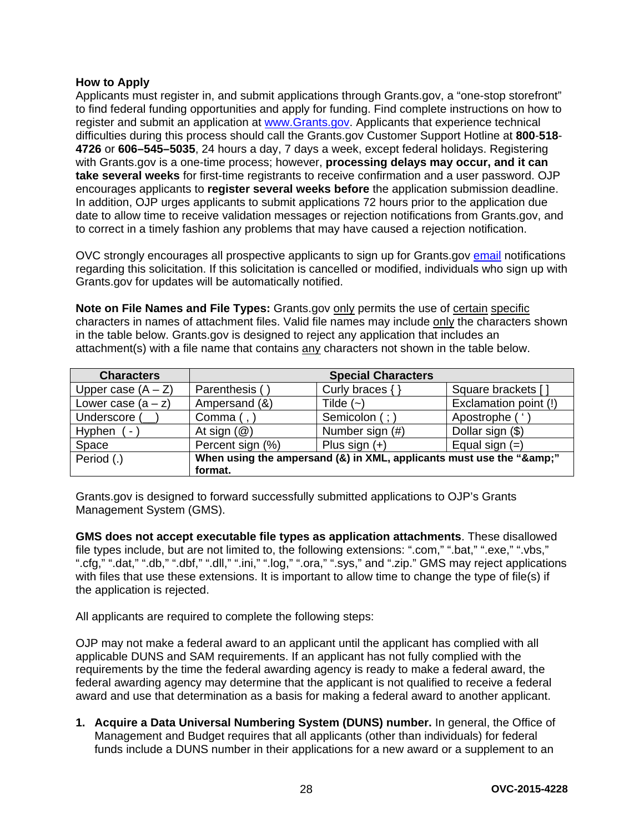#### <span id="page-27-0"></span>**How to Apply**

Applicants must register in, and submit applications through Grants.gov, a "one-stop storefront" to find federal funding opportunities and apply for funding. Find complete instructions on how to register and submit an application at [www.Grants.gov.](http://www.grants.gov/) Applicants that experience technical difficulties during this process should call the Grants.gov Customer Support Hotline at **800**-**518**- **4726** or **606–545–5035**, 24 hours a day, 7 days a week, except federal holidays. Registering with Grants.gov is a one-time process; however, **processing delays may occur, and it can take several weeks** for first-time registrants to receive confirmation and a user password. OJP encourages applicants to **register several weeks before** the application submission deadline. In addition, OJP urges applicants to submit applications 72 hours prior to the application due date to allow time to receive validation messages or rejection notifications from Grants.gov, and to correct in a timely fashion any problems that may have caused a rejection notification.

OVC strongly encourages all prospective applicants to sign up for Grants.gov [email](http://www.grants.gov/web/grants/manage-subscriptions.html) notifications regarding this solicitation. If this solicitation is cancelled or modified, individuals who sign up with Grants.gov for updates will be automatically notified.

**Note on File Names and File Types:** Grants.gov only permits the use of certain specific characters in names of attachment files. Valid file names may include only the characters shown in the table below. Grants.gov is designed to reject any application that includes an attachment(s) with a file name that contains any characters not shown in the table below.

| <b>Characters</b>        |                                                                  | <b>Special Characters</b> |                       |
|--------------------------|------------------------------------------------------------------|---------------------------|-----------------------|
| Upper case $(A - Z)$     | Parenthesis (                                                    | Curly braces $\{ \}$      | Square brackets [     |
| Lower case $(a - z)$     | Ampersand (&)                                                    | Tilde $(-)$               | Exclamation point (!) |
| Underscore (             | Comma $($ , $)$                                                  | Semicolon (;)             | Apostrophe ('         |
| Hyphen<br>$\blacksquare$ | At sign $(\mathcal{Q})$                                          | Number sign (#)           | Dollar sign (\$)      |
| Space                    | Percent sign (%)                                                 | Plus sign $(+)$           | Equal sign $(=)$      |
| Period (.)               | When using the ampersand (&) in XML, applicants must use the "&" |                           |                       |
|                          | format.                                                          |                           |                       |

Grants.gov is designed to forward successfully submitted applications to OJP's Grants Management System (GMS).

**GMS does not accept executable file types as application attachments**. These disallowed file types include, but are not limited to, the following extensions: ".com," ".bat," ".exe," ".vbs," ".cfg," ".dat," ".db," ".dbf," ".dll," ".ini," ".log," ".ora," ".sys," and ".zip." GMS may reject applications with files that use these extensions. It is important to allow time to change the type of file(s) if the application is rejected.

All applicants are required to complete the following steps:

OJP may not make a federal award to an applicant until the applicant has complied with all applicable DUNS and SAM requirements. If an applicant has not fully complied with the requirements by the time the federal awarding agency is ready to make a federal award, the federal awarding agency may determine that the applicant is not qualified to receive a federal award and use that determination as a basis for making a federal award to another applicant.

**1. Acquire a Data Universal Numbering System (DUNS) number.** In general, the Office of Management and Budget requires that all applicants (other than individuals) for federal funds include a DUNS number in their applications for a new award or a supplement to an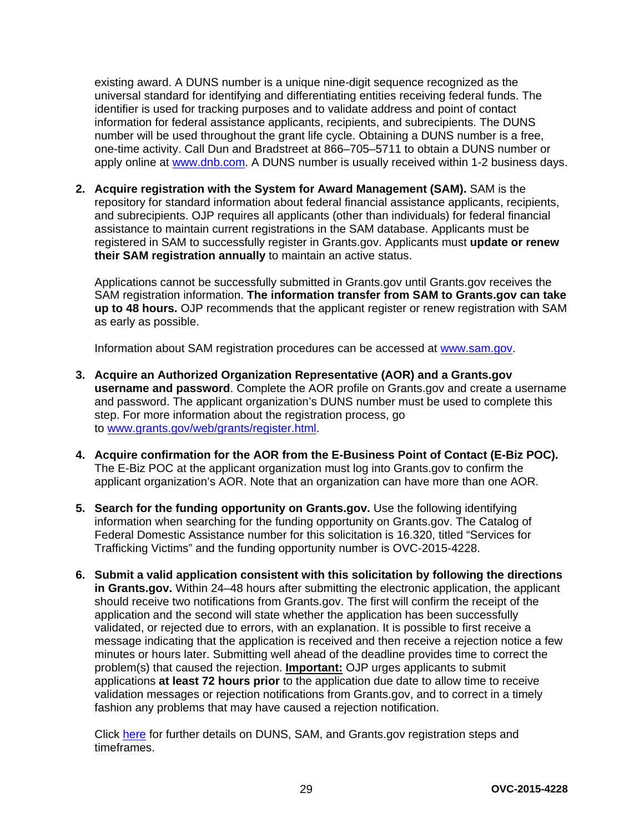existing award. A DUNS number is a unique nine-digit sequence recognized as the universal standard for identifying and differentiating entities receiving federal funds. The identifier is used for tracking purposes and to validate address and point of contact information for federal assistance applicants, recipients, and subrecipients. The DUNS number will be used throughout the grant life cycle. Obtaining a DUNS number is a free, one-time activity. Call Dun and Bradstreet at 866–705–5711 to obtain a DUNS number or apply online at [www.dnb.com.](http://www.dnb.com/) A DUNS number is usually received within 1-2 business days.

**2. Acquire registration with the System for Award Management (SAM).** SAM is the repository for standard information about federal financial assistance applicants, recipients, and subrecipients. OJP requires all applicants (other than individuals) for federal financial assistance to maintain current registrations in the SAM database. Applicants must be registered in SAM to successfully register in Grants.gov. Applicants must **update or renew their SAM registration annually** to maintain an active status.

Applications cannot be successfully submitted in Grants.gov until Grants.gov receives the SAM registration information. **The information transfer from SAM to Grants.gov can take up to 48 hours.** OJP recommends that the applicant register or renew registration with SAM as early as possible.

Information about SAM registration procedures can be accessed at [www.sam.gov.](https://www.sam.gov/portal/public/SAM/?portal:componentId=1f834b82-3fed-4eb3-a1f8-ea1f226a7955&portal:type=action&interactionstate=JBPNS_rO0ABXc0ABBfanNmQnJpZGdlVmlld0lkAAAAAQATL2pzZi9uYXZpZ2F0aW9uLmpzcAAHX19FT0ZfXw**)

- **3. Acquire an Authorized Organization Representative (AOR) and a Grants.gov username and password**. Complete the AOR profile on Grants.gov and create a username and password. The applicant organization's DUNS number must be used to complete this step. For more information about the registration process, go to [www.grants.gov/web/grants/register.html.](http://www.grants.gov/web/grants/register.html)
- **4. Acquire confirmation for the AOR from the E-Business Point of Contact (E-Biz POC).**  The E-Biz POC at the applicant organization must log into Grants.gov to confirm the applicant organization's AOR. Note that an organization can have more than one AOR.
- **5. Search for the funding opportunity on Grants.gov.** Use the following identifying information when searching for the funding opportunity on Grants.gov. The Catalog of Federal Domestic Assistance number for this solicitation is 16.320, titled "Services for Trafficking Victims" and the funding opportunity number is OVC-2015-4228.
- **6. Submit a valid application consistent with this solicitation by following the directions in Grants.gov.** Within 24–48 hours after submitting the electronic application, the applicant should receive two notifications from Grants.gov. The first will confirm the receipt of the application and the second will state whether the application has been successfully validated, or rejected due to errors, with an explanation. It is possible to first receive a message indicating that the application is received and then receive a rejection notice a few minutes or hours later. Submitting well ahead of the deadline provides time to correct the problem(s) that caused the rejection. **Important:** OJP urges applicants to submit applications **at least 72 hours prior** to the application due date to allow time to receive validation messages or rejection notifications from Grants.gov, and to correct in a timely fashion any problems that may have caused a rejection notification.

Click [here](http://www.grants.gov/web/grants/applicants/organization-registration.html) for further details on DUNS, SAM, and Grants.gov registration steps and timeframes.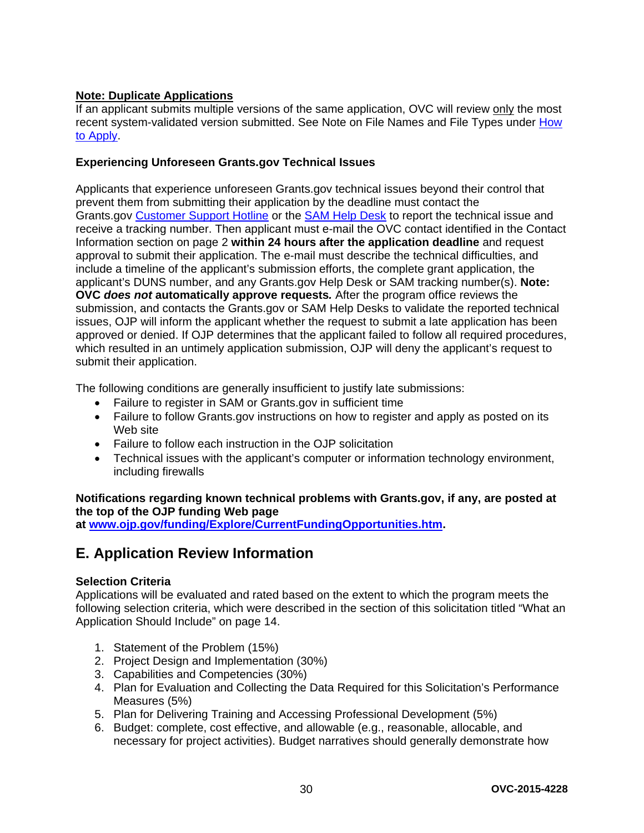#### **Note: Duplicate Applications**

If an applicant submits multiple versions of the same application, OVC will review only the most recent system-validated version submitted. See Note on File Names and File Types under [How](#page-27-0)  [to Apply.](#page-27-0)

#### **Experiencing Unforeseen Grants.gov Technical Issues**

Applicants that experience unforeseen Grants.gov technical issues beyond their control that prevent them from submitting their application by the deadline must contact the Grants.gov [Customer Support Hotline](http://www.grants.gov/web/grants/about/contact-us.html) or the [SAM Help Desk](https://www.fsd.gov/fsd-gov/home.do) to report the technical issue and receive a tracking number. Then applicant must e-mail the OVC contact identified in the Contact Information section on page 2 **within 24 hours after the application deadline** and request approval to submit their application. The e-mail must describe the technical difficulties, and include a timeline of the applicant's submission efforts, the complete grant application, the applicant's DUNS number, and any Grants.gov Help Desk or SAM tracking number(s). **Note: OVC** *does not* **automatically approve requests***.* After the program office reviews the submission, and contacts the Grants.gov or SAM Help Desks to validate the reported technical issues, OJP will inform the applicant whether the request to submit a late application has been approved or denied. If OJP determines that the applicant failed to follow all required procedures, which resulted in an untimely application submission, OJP will deny the applicant's request to submit their application.

The following conditions are generally insufficient to justify late submissions:

- Failure to register in SAM or Grants.gov in sufficient time
- Failure to follow Grants.gov instructions on how to register and apply as posted on its Web site
- Failure to follow each instruction in the OJP solicitation
- Technical issues with the applicant's computer or information technology environment, including firewalls

#### **Notifications regarding known technical problems with Grants.gov, if any, are posted at the top of the OJP funding Web page**

**at [www.ojp.gov/funding/Explore/CurrentFundingOpportunities.htm.](http://ojp.gov/funding/Explore/CurrentFundingOpportunities.htm)**

## <span id="page-29-0"></span>**E. Application Review Information**

#### <span id="page-29-1"></span>**Selection Criteria**

Applications will be evaluated and rated based on the extent to which the program meets the following selection criteria, which were described in the section of this solicitation titled "What an Application Should Include" on page 14.

- 1. Statement of the Problem (15%)
- 2. Project Design and Implementation (30%)
- 3. Capabilities and Competencies (30%)
- 4. Plan for Evaluation and Collecting the Data Required for this Solicitation's Performance Measures (5%)
- 5. Plan for Delivering Training and Accessing Professional Development (5%)
- 6. Budget: complete, cost effective, and allowable (e.g., reasonable, allocable, and necessary for project activities). Budget narratives should generally demonstrate how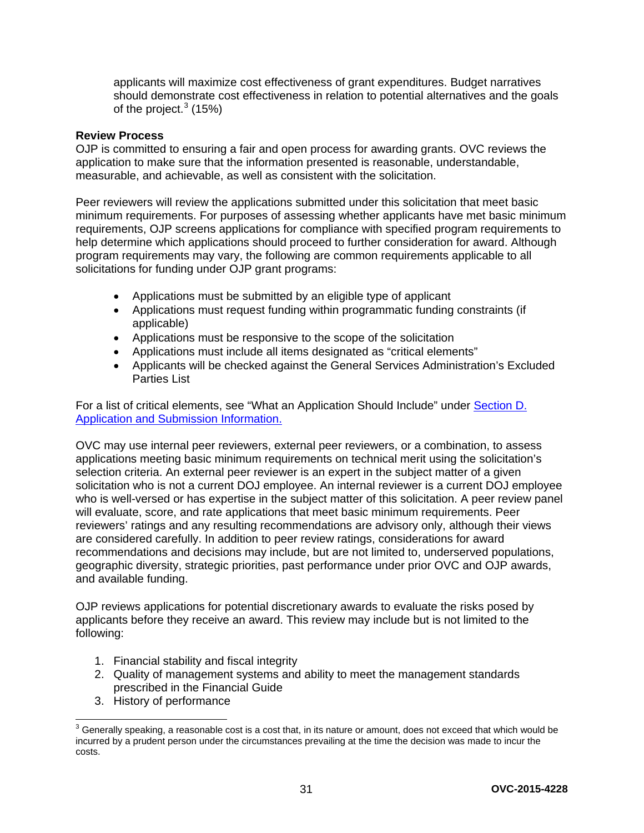applicants will maximize cost effectiveness of grant expenditures. Budget narratives should demonstrate cost effectiveness in relation to potential alternatives and the goals of the project. $^3$  $^3$  (15%).

#### <span id="page-30-0"></span>**Review Process**

OJP is committed to ensuring a fair and open process for awarding grants. OVC reviews the application to make sure that the information presented is reasonable, understandable, measurable, and achievable, as well as consistent with the solicitation.

Peer reviewers will review the applications submitted under this solicitation that meet basic minimum requirements. For purposes of assessing whether applicants have met basic minimum requirements, OJP screens applications for compliance with specified program requirements to help determine which applications should proceed to further consideration for award. Although program requirements may vary, the following are common requirements applicable to all solicitations for funding under OJP grant programs:

- Applications must be submitted by an eligible type of applicant
- Applications must request funding within programmatic funding constraints (if applicable)
- Applications must be responsive to the scope of the solicitation
- Applications must include all items designated as "critical elements"
- Applicants will be checked against the General Services Administration's Excluded Parties List

For a list of critical elements, see "What an Application Should Include" under [Section D.](#page-13-1)  [Application and Submission Information.](#page-13-1)

OVC may use internal peer reviewers, external peer reviewers, or a combination, to assess applications meeting basic minimum requirements on technical merit using the solicitation's selection criteria. An external peer reviewer is an expert in the subject matter of a given solicitation who is not a current DOJ employee. An internal reviewer is a current DOJ employee who is well-versed or has expertise in the subject matter of this solicitation. A peer review panel will evaluate, score, and rate applications that meet basic minimum requirements. Peer reviewers' ratings and any resulting recommendations are advisory only, although their views are considered carefully. In addition to peer review ratings, considerations for award recommendations and decisions may include, but are not limited to, underserved populations, geographic diversity, strategic priorities, past performance under prior OVC and OJP awards, and available funding.

OJP reviews applications for potential discretionary awards to evaluate the risks posed by applicants before they receive an award. This review may include but is not limited to the following:

- 1. Financial stability and fiscal integrity
- 2. Quality of management systems and ability to meet the management standards prescribed in the Financial Guide
- 3. History of performance

<span id="page-30-1"></span> $^3$  Generally speaking, a reasonable cost is a cost that, in its nature or amount, does not exceed that which would be incurred by a prudent person under the circumstances prevailing at the time the decision was made to incur the costs.  $\overline{\phantom{a}}$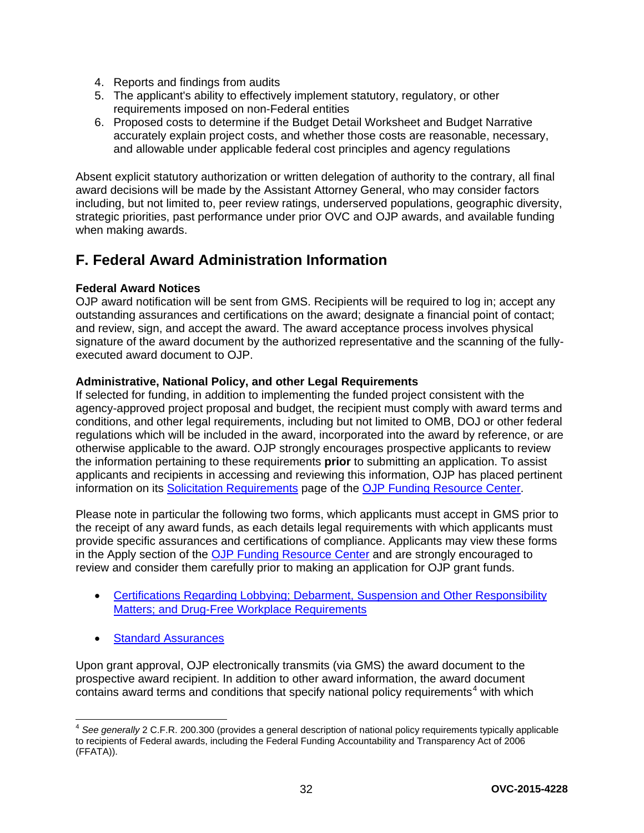- 4. Reports and findings from audits
- 5. The applicant's ability to effectively implement statutory, regulatory, or other requirements imposed on non-Federal entities
- <span id="page-31-3"></span>6. Proposed costs to determine if the Budget Detail Worksheet and Budget Narrative accurately explain project costs, and whether those costs are reasonable, necessary, and allowable under applicable federal cost principles and agency regulations

Absent explicit statutory authorization or written delegation of authority to the contrary, all final award decisions will be made by the Assistant Attorney General, who may consider factors including, but not limited to, peer review ratings, underserved populations, geographic diversity, strategic priorities, past performance under prior OVC and OJP awards, and available funding when making awards.

## <span id="page-31-0"></span>**F. Federal Award Administration Information**

#### <span id="page-31-1"></span>**Federal Award Notices**

OJP award notification will be sent from GMS. Recipients will be required to log in; accept any outstanding assurances and certifications on the award; designate a financial point of contact; and review, sign, and accept the award. The award acceptance process involves physical signature of the award document by the authorized representative and the scanning of the fullyexecuted award document to OJP.

#### <span id="page-31-2"></span>**Administrative, National Policy, and other Legal Requirements**

If selected for funding, in addition to implementing the funded project consistent with the agency-approved project proposal and budget, the recipient must comply with award terms and conditions, and other legal requirements, including but not limited to OMB, DOJ or other federal regulations which will be included in the award, incorporated into the award by reference, or are otherwise applicable to the award. OJP strongly encourages prospective applicants to review the information pertaining to these requirements **prior** to submitting an application. To assist applicants and recipients in accessing and reviewing this information, OJP has placed pertinent information on its [Solicitation Requirements](http://ojp.gov/funding/Explore/SolicitationRequirements/index.htm) page of the OJP [Funding Resource Center.](http://ojp.gov/funding/index.htm)

Please note in particular the following two forms, which applicants must accept in GMS prior to the receipt of any award funds, as each details legal requirements with which applicants must provide specific assurances and certifications of compliance. Applicants may view these forms in the Apply section of the [OJP Funding Resource Center](http://ojp.gov/funding/index.htm) and are strongly encouraged to review and consider them carefully prior to making an application for OJP grant funds.

- [Certifications Regarding Lobbying; Debarment, Suspension and Other Responsibility](http://ojp.gov/funding/Apply/Forms.htm)  [Matters; and Drug-Free Workplace Requirements](http://ojp.gov/funding/Apply/Forms.htm)
- **[Standard Assurances](http://ojp.gov/funding/Apply/Forms.htm)**

Upon grant approval, OJP electronically transmits (via GMS) the award document to the prospective award recipient. In addition to other award information, the award document contains award terms and conditions that specify national policy requirements<sup>[4](#page-31-4)</sup> with which

<span id="page-31-4"></span><sup>4</sup> *See generally* 2 C.F.R. 200.300 (provides a general description of national policy requirements typically applicable to recipients of Federal awards, including the Federal Funding Accountability and Transparency Act of 2006 (FFATA)).  $\overline{a}$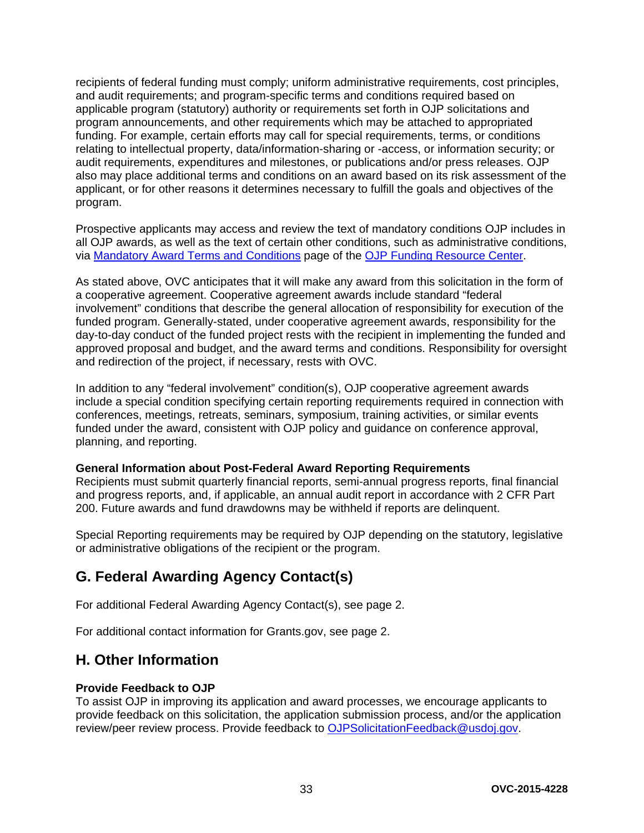recipients of federal funding must comply; uniform administrative requirements, cost principles, and audit requirements; and program-specific terms and conditions required based on applicable program (statutory) authority or requirements set forth in OJP solicitations and program announcements, and other requirements which may be attached to appropriated funding. For example, certain efforts may call for special requirements, terms, or conditions relating to intellectual property, data/information-sharing or -access, or information security; or audit requirements, expenditures and milestones, or publications and/or press releases. OJP also may place additional terms and conditions on an award based on its risk assessment of the applicant, or for other reasons it determines necessary to fulfill the goals and objectives of the program.

Prospective applicants may access and review the text of mandatory conditions OJP includes in all OJP awards, as well as the text of certain other conditions, such as administrative conditions, via [Mandatory Award Terms and Conditions](http://ojp.gov/funding/Explore/SolicitationRequirements/MandatoryTermsConditions.htm) page of the OJP [Funding Resource Center.](http://ojp.gov/funding/index.htm)

As stated above, OVC anticipates that it will make any award from this solicitation in the form of a cooperative agreement. Cooperative agreement awards include standard "federal involvement" conditions that describe the general allocation of responsibility for execution of the funded program. Generally-stated, under cooperative agreement awards, responsibility for the day-to-day conduct of the funded project rests with the recipient in implementing the funded and approved proposal and budget, and the award terms and conditions. Responsibility for oversight and redirection of the project, if necessary, rests with OVC.

In addition to any "federal involvement" condition(s), OJP cooperative agreement awards include a special condition specifying certain reporting requirements required in connection with conferences, meetings, retreats, seminars, symposium, training activities, or similar events funded under the award, consistent with OJP policy and guidance on conference approval, planning, and reporting.

#### <span id="page-32-0"></span>**General Information about Post-Federal Award Reporting Requirements**

Recipients must submit quarterly financial reports, semi-annual progress reports, final financial and progress reports, and, if applicable, an annual audit report in accordance with 2 CFR Part 200. Future awards and fund drawdowns may be withheld if reports are delinquent.

Special Reporting requirements may be required by OJP depending on the statutory, legislative or administrative obligations of the recipient or the program.

## <span id="page-32-1"></span>**G. Federal Awarding Agency Contact(s)**

For additional Federal Awarding Agency Contact(s), see page 2.

For additional contact information for Grants.gov, see page 2.

## <span id="page-32-2"></span>**H. Other Information**

#### <span id="page-32-3"></span>**Provide Feedback to OJP**

To assist OJP in improving its application and award processes, we encourage applicants to provide feedback on this solicitation, the application submission process, and/or the application review/peer review process. Provide feedback to [OJPSolicitationFeedback@usdoj.gov.](mailto:OJPSolicitationFeedback@usdoj.gov)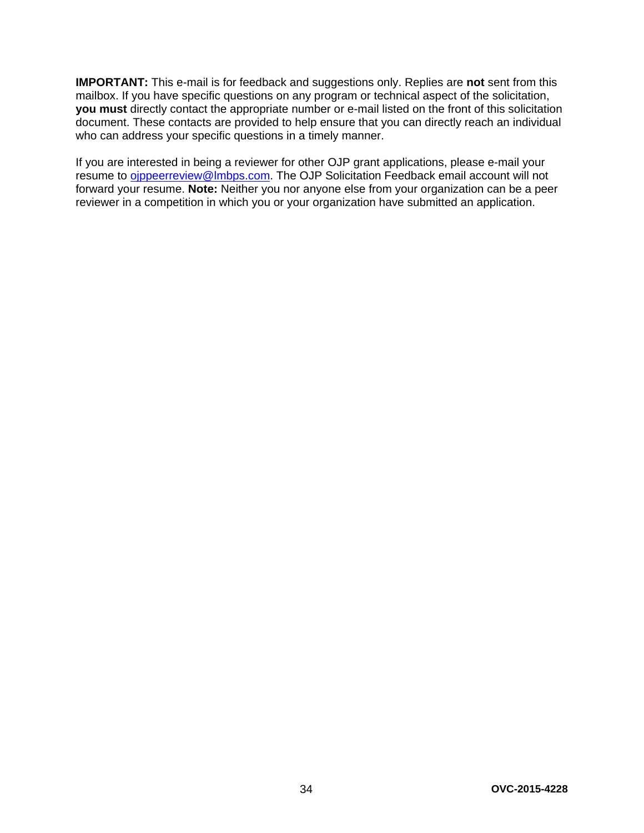**IMPORTANT:** This e-mail is for feedback and suggestions only. Replies are **not** sent from this mailbox. If you have specific questions on any program or technical aspect of the solicitation, **you must** directly contact the appropriate number or e-mail listed on the front of this solicitation document. These contacts are provided to help ensure that you can directly reach an individual who can address your specific questions in a timely manner.

If you are interested in being a reviewer for other OJP grant applications, please e-mail your resume to oippeerreview@lmbps.com. The OJP Solicitation Feedback email account will not forward your resume. **Note:** Neither you nor anyone else from your organization can be a peer reviewer in a competition in which you or your organization have submitted an application.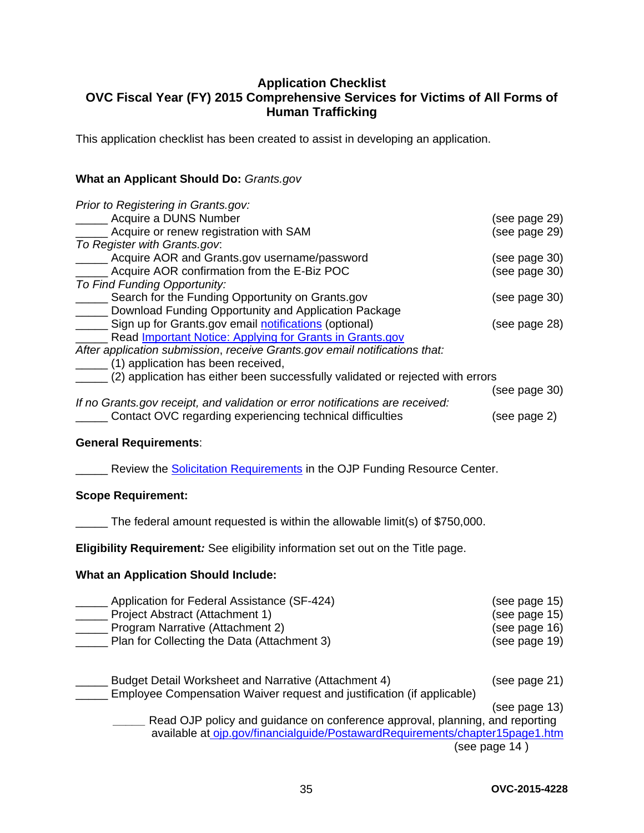#### <span id="page-34-0"></span>**Application Checklist OVC Fiscal Year (FY) 2015 Comprehensive Services for Victims of All Forms of Human Trafficking**

This application checklist has been created to assist in developing an application.

#### **What an Applicant Should Do:** *Grants.gov*

| Prior to Registering in Grants.gov:                                            |               |
|--------------------------------------------------------------------------------|---------------|
| Acquire a DUNS Number                                                          | (see page 29) |
| Acquire or renew registration with SAM                                         | (see page 29) |
| To Register with Grants.gov.                                                   |               |
| Acquire AOR and Grants.gov username/password                                   | (see page 30) |
| Acquire AOR confirmation from the E-Biz POC                                    | (see page 30) |
| To Find Funding Opportunity:                                                   |               |
| Search for the Funding Opportunity on Grants.gov                               | (see page 30) |
| Download Funding Opportunity and Application Package                           |               |
| Sign up for Grants.gov email notifications (optional)                          | (see page 28) |
| Read Important Notice: Applying for Grants in Grants.gov                       |               |
| After application submission, receive Grants.gov email notifications that:     |               |
| (1) application has been received,                                             |               |
| (2) application has either been successfully validated or rejected with errors |               |
|                                                                                | (see page 30) |
| If no Grants gov receipt, and validation or error notifications are received:  |               |
| Contact OVC regarding experiencing technical difficulties                      | (see page 2)  |

#### **General Requirements**:

**EXECUTE:** Review the [Solicitation Requirements](http://ojp.gov/funding/Explore/SolicitationRequirements/index.htm) in the OJP Funding Resource Center.

#### **Scope Requirement:**

\_\_\_\_\_ The federal amount requested is within the allowable limit(s) of \$750,000.

**Eligibility Requirement***:* See eligibility information set out on the Title page.

#### **What an Application Should Include:**

| Application for Federal Assistance (SF-424) | (see page 15) |
|---------------------------------------------|---------------|
| Project Abstract (Attachment 1)             | (see page 15) |
| Program Narrative (Attachment 2)            | (see page 16) |
| Plan for Collecting the Data (Attachment 3) | (see page 19) |
|                                             |               |

\_\_\_\_\_ Budget Detail Worksheet and Narrative (Attachment 4) (see page 21) \_\_\_\_\_ Employee Compensation Waiver request and justification (if applicable) (see page 13)

*\_\_\_\_\_* Read OJP policy and guidance on conference approval, planning, and reporting available at [ojp.gov/financialguide/PostawardRequirements/chapter15page1.htm](http://ojp.gov/financialguide/PostawardRequirements/chapter15page1.htm) (see page 14 )